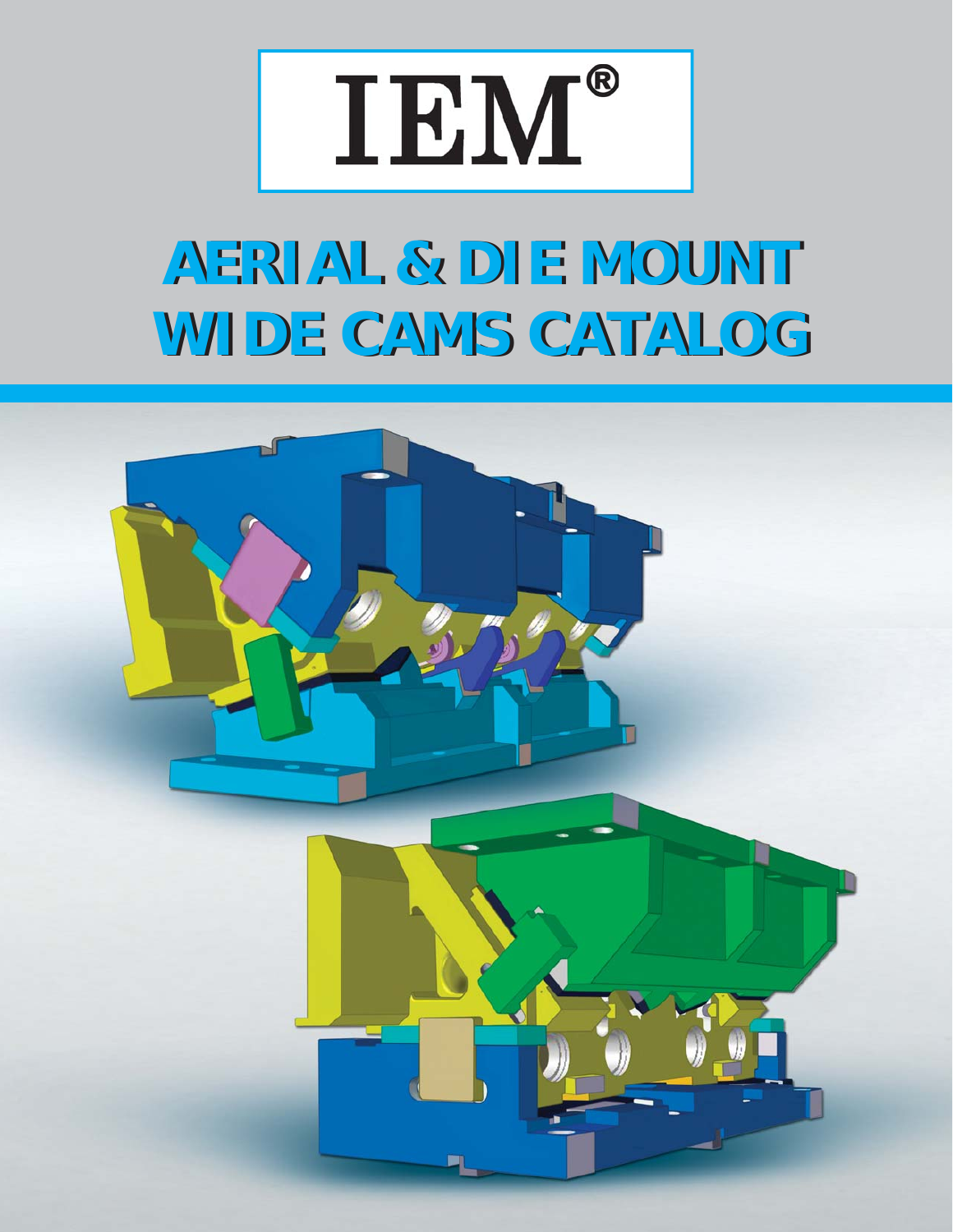

# **AERIAL & DIE MOUNT AERIAL & DIE MOUNT WIDE CAMS CATALOG WIDE CAMS CATALOG**

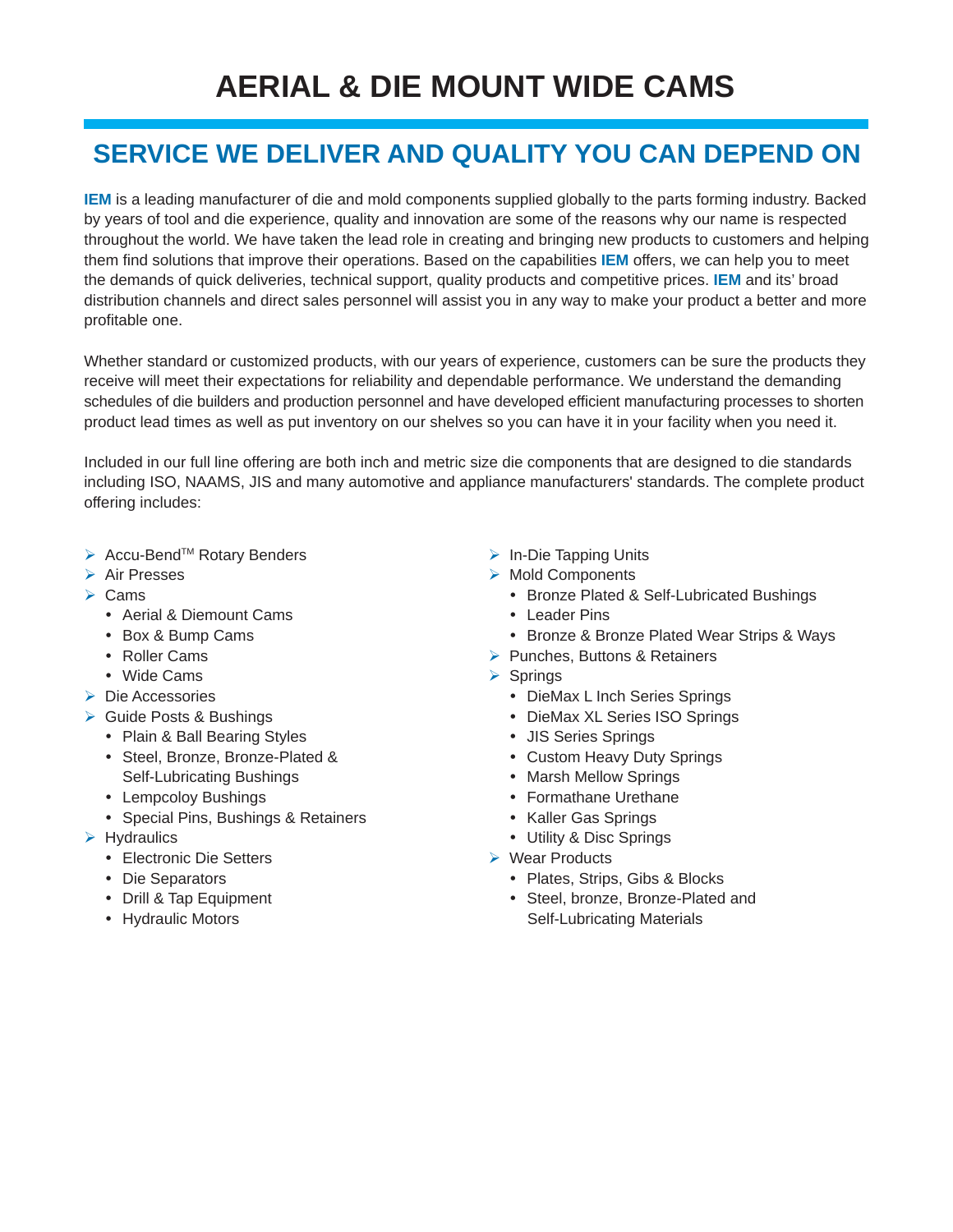### **SERVICE WE DELIVER AND QUALITY YOU CAN DEPEND ON**

**IEM** is a leading manufacturer of die and mold components supplied globally to the parts forming industry. Backed by years of tool and die experience, quality and innovation are some of the reasons why our name is respected throughout the world. We have taken the lead role in creating and bringing new products to customers and helping them find solutions that improve their operations. Based on the capabilities **IEM** offers, we can help you to meet the demands of quick deliveries, technical support, quality products and competitive prices. **IEM** and its' broad distribution channels and direct sales personnel will assist you in any way to make your product a better and more profitable one.

Whether standard or customized products, with our years of experience, customers can be sure the products they receive will meet their expectations for reliability and dependable performance. We understand the demanding schedules of die builders and production personnel and have developed efficient manufacturing processes to shorten product lead times as well as put inventory on our shelves so you can have it in your facility when you need it.

Included in our full line offering are both inch and metric size die components that are designed to die standards including ISO, NAAMS, JIS and many automotive and appliance manufacturers' standards. The complete product offering includes:

- ▶ Accu-Bend<sup>™</sup> Rotary Benders
- **▶ Air Presses**
- $\triangleright$  Cams
	- Aerial & Diemount Cams
	- Box & Bump Cams
	- Roller Cams
	- Wide Cams
- ▶ Die Accessories
- ▶ Guide Posts & Bushings
	- Plain & Ball Bearing Styles
	- Steel, Bronze, Bronze-Plated & Self-Lubricating Bushings
	- Lempcoloy Bushings
	- Special Pins, Bushings & Retainers
- $\triangleright$  Hydraulics
	- Electronic Die Setters
	- Die Separators
	- Drill & Tap Equipment
	- Hydraulic Motors
- $\triangleright$  In-Die Tapping Units
- > Mold Components
	- Bronze Plated & Self-Lubricated Bushings
	- Leader Pins
	- Bronze & Bronze Plated Wear Strips & Ways
- $\triangleright$  Punches, Buttons & Retainers
- $\triangleright$  Springs
	- DieMax L Inch Series Springs
	- DieMax XL Series ISO Springs
	- JIS Series Springs
	- Custom Heavy Duty Springs
	- Marsh Mellow Springs
	- Formathane Urethane
	- Kaller Gas Springs
	- Utility & Disc Springs
- ▶ Wear Products
	- Plates, Strips, Gibs & Blocks
	- Steel, bronze, Bronze-Plated and Self-Lubricating Materials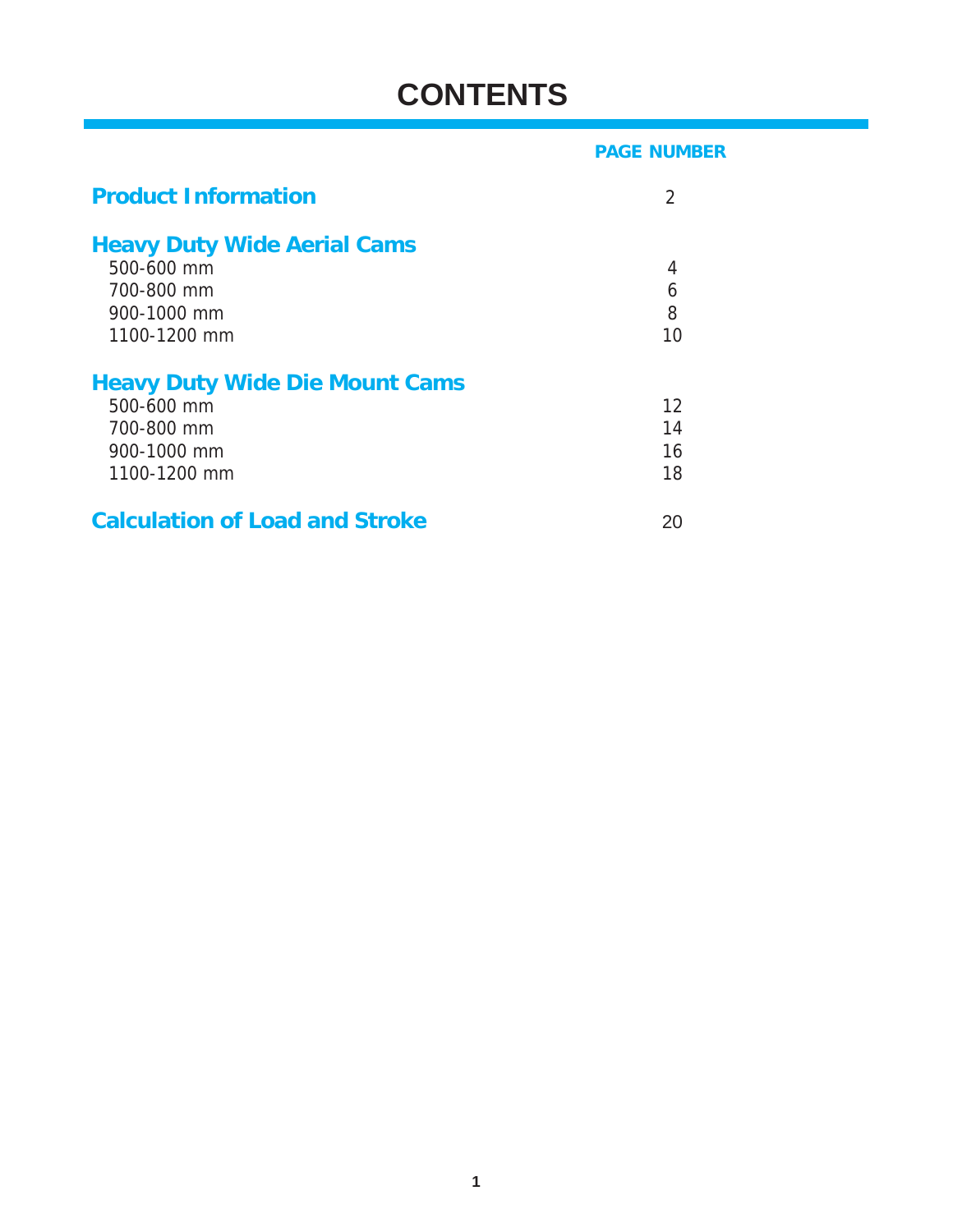## **CONTENTS**

|                                       | <b>PAGE NUMBER</b> |
|---------------------------------------|--------------------|
| <b>Product Information</b>            | $\overline{2}$     |
| <b>Heavy Duty Wide Aerial Cams</b>    |                    |
| 500-600 mm                            | 4                  |
| 700-800 mm                            | 6                  |
| 900-1000 mm                           | 8                  |
| 1100-1200 mm                          | 10                 |
| <b>Heavy Duty Wide Die Mount Cams</b> |                    |
| 500-600 mm                            | 12                 |
| 700-800 mm                            | 14                 |
| 900-1000 mm                           | 16                 |
| 1100-1200 mm                          | 18                 |
| <b>Calculation of Load and Stroke</b> | 20                 |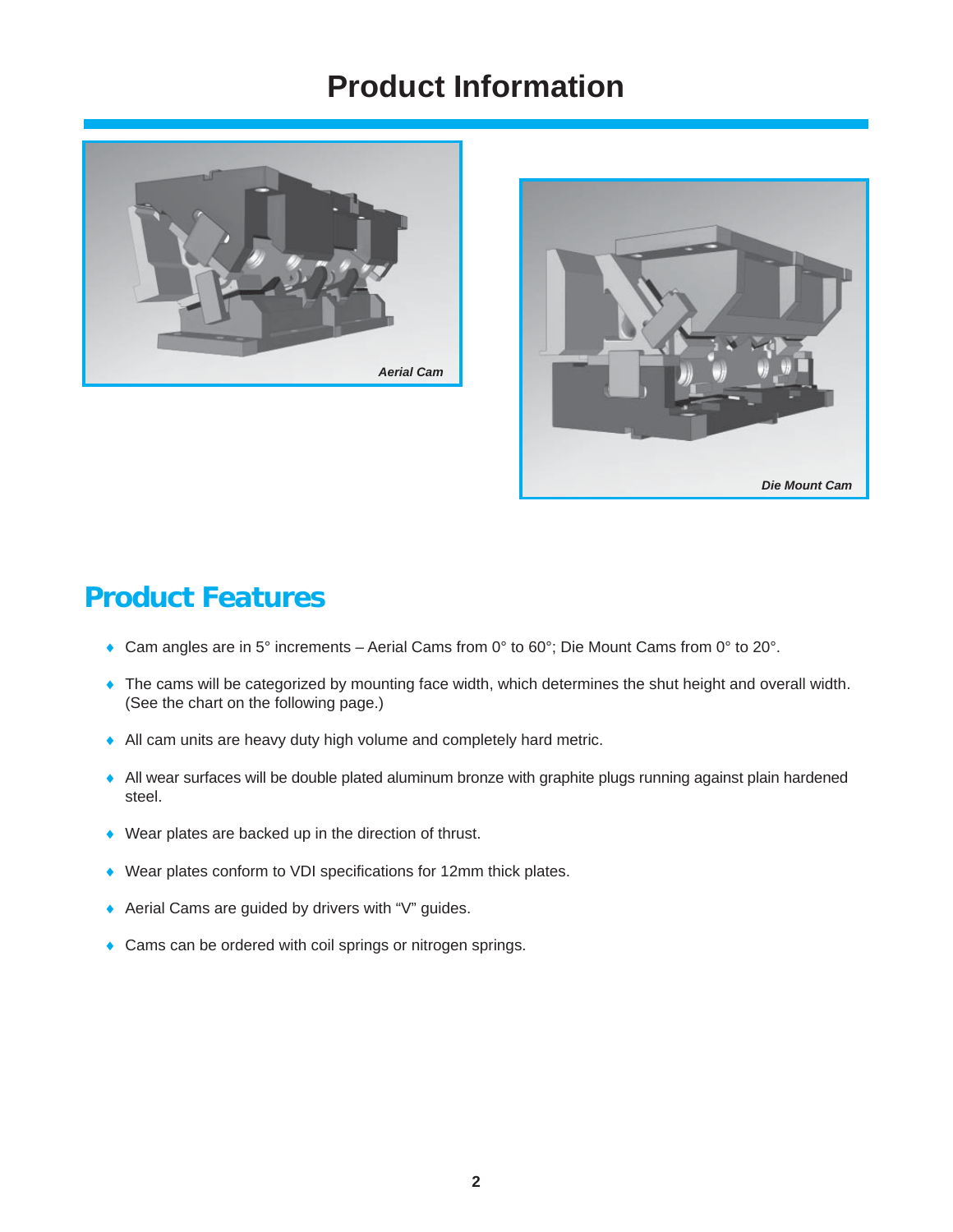### **Product Information**





### **Product Features**

- Cam angles are in 5° increments Aerial Cams from 0° to 60°; Die Mount Cams from 0° to 20°.
- The cams will be categorized by mounting face width, which determines the shut height and overall width. (See the chart on the following page.)
- All cam units are heavy duty high volume and completely hard metric.
- All wear surfaces will be double plated aluminum bronze with graphite plugs running against plain hardened steel.
- Wear plates are backed up in the direction of thrust.
- $\blacklozenge$  Wear plates conform to VDI specifications for 12mm thick plates.
- ◆ Aerial Cams are guided by drivers with "V" guides.
- **Cams can be ordered with coil springs or nitrogen springs.**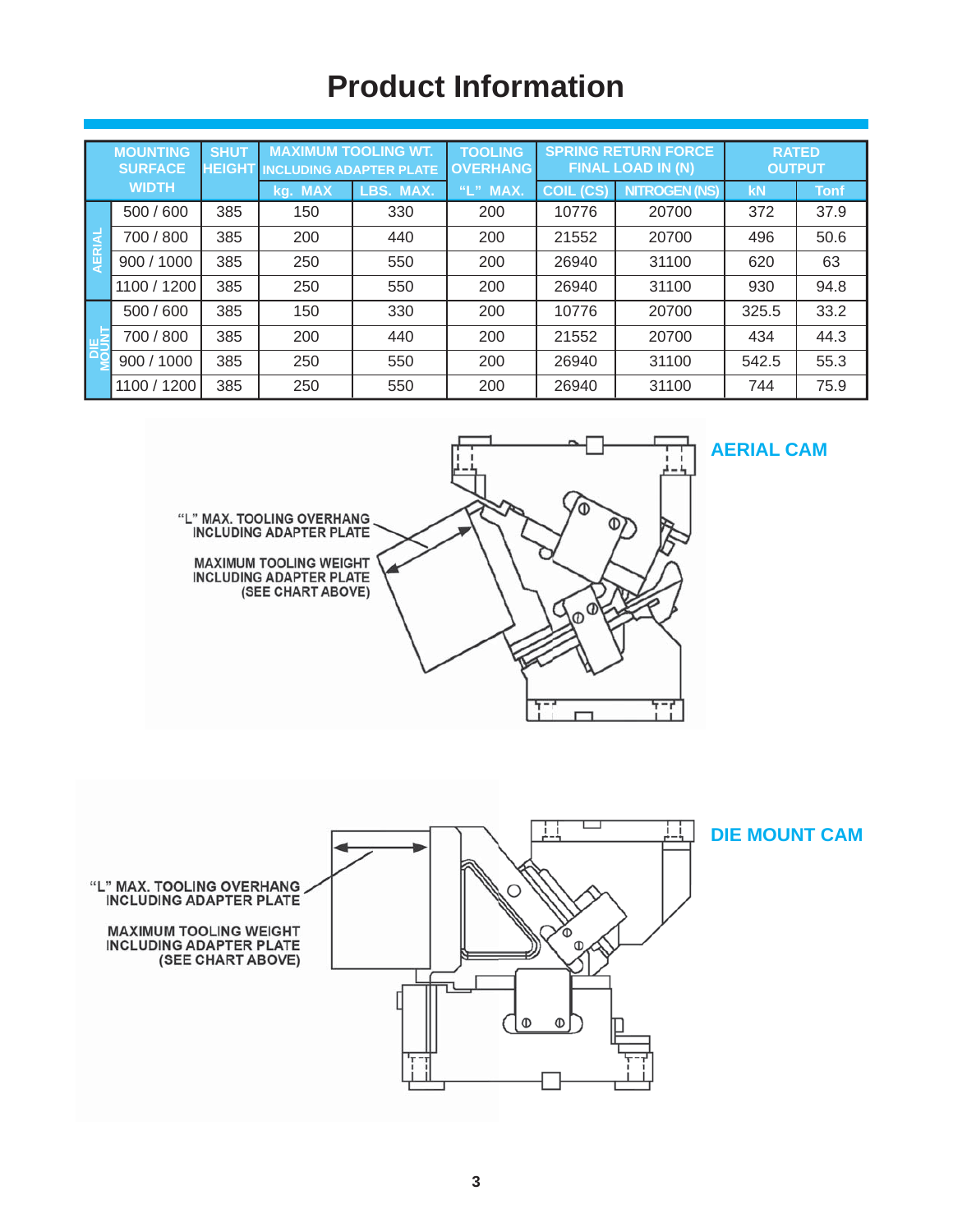## **Product Information**

|        | <b>MOUNTING</b><br><b>SURFACE</b> | <b>SHUT</b><br><b>HEIGHT</b> | <b>MAXIMUM TOOLING WT.</b><br><b>INCLUDING ADAPTER PLATE</b> |           | <b>TOOLING</b><br><b>OVERHANG</b> | <b>SPRING RETURN FORCE</b><br><b>FINAL LOAD IN (N)</b> |                      | <b>RATED</b><br><b>OUTPUT</b> |             |
|--------|-----------------------------------|------------------------------|--------------------------------------------------------------|-----------|-----------------------------------|--------------------------------------------------------|----------------------|-------------------------------|-------------|
|        | <b>WIDTH</b>                      |                              | <b>MAX</b><br>kq.                                            | LBS. MAX. | "L" MAX.                          | <b>COIL (CS)</b>                                       | <b>NITROGEN (NS)</b> | <b>kN</b>                     | <b>Tonf</b> |
|        | 500 / 600                         | 385                          | 150                                                          | 330       | 200                               | 10776                                                  | 20700                | 372                           | 37.9        |
| AERIAL | 700 / 800                         | 385                          | 200                                                          | 440       | 200                               | 21552                                                  | 20700                | 496                           | 50.6        |
|        | 900/1000                          | 385                          | 250                                                          | 550       | 200                               | 26940                                                  | 31100                | 620                           | 63          |
|        | 1100 / 1200                       | 385                          | 250                                                          | 550       | 200                               | 26940                                                  | 31100                | 930                           | 94.8        |
|        | 500 / 600                         | 385                          | 150                                                          | 330       | 200                               | 10776                                                  | 20700                | 325.5                         | 33.2        |
| 四      | 700 / 800                         | 385                          | 200                                                          | 440       | 200                               | 21552                                                  | 20700                | 434                           | 44.3        |
| (同     | 900 / 1000                        | 385                          | 250                                                          | 550       | 200                               | 26940                                                  | 31100                | 542.5                         | 55.3        |
|        | 1100 / 1200                       | 385                          | 250                                                          | 550       | 200                               | 26940                                                  | 31100                | 744                           | 75.9        |



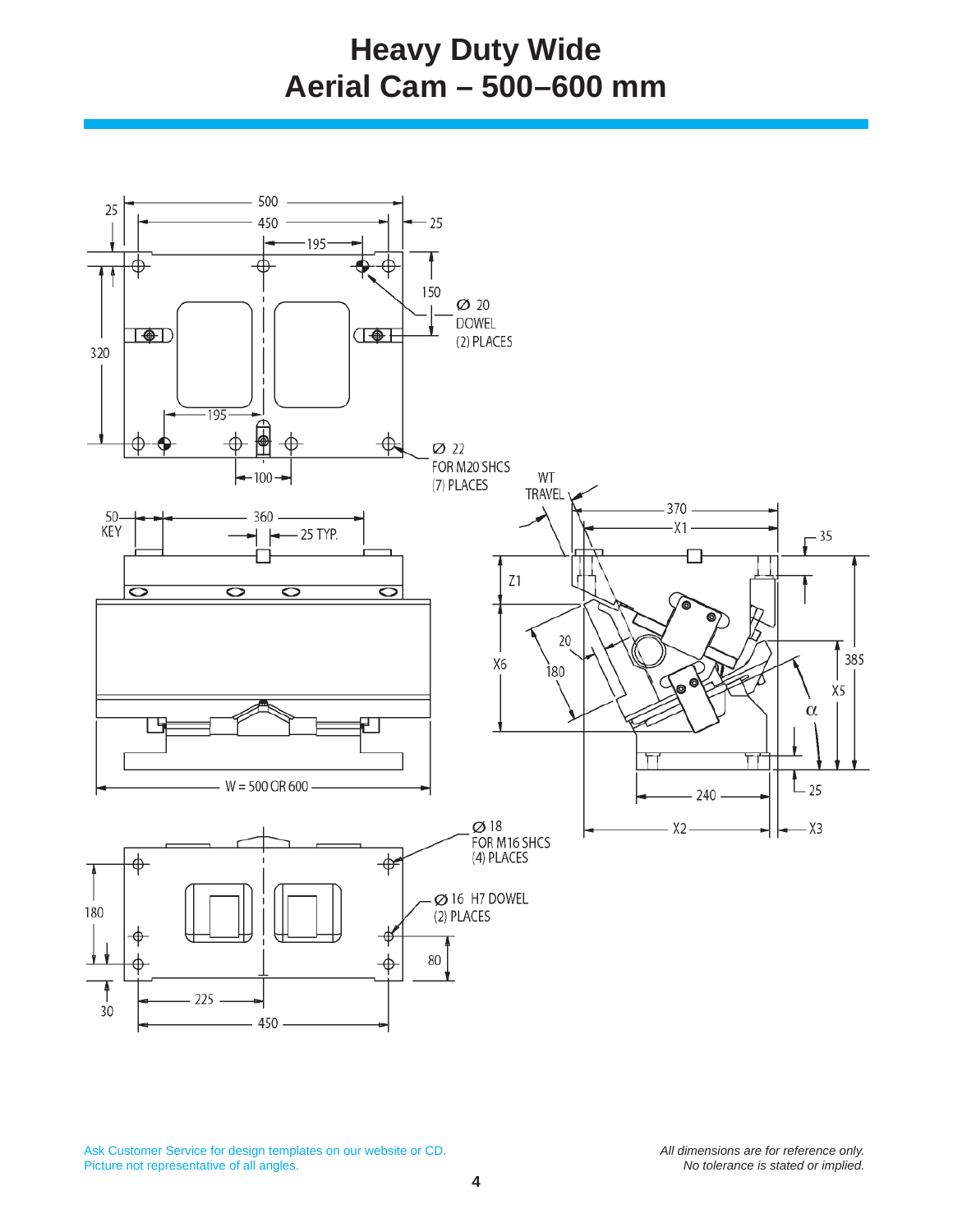## **Heavy Duty Wide Aerial Cam – 500–600 mm**

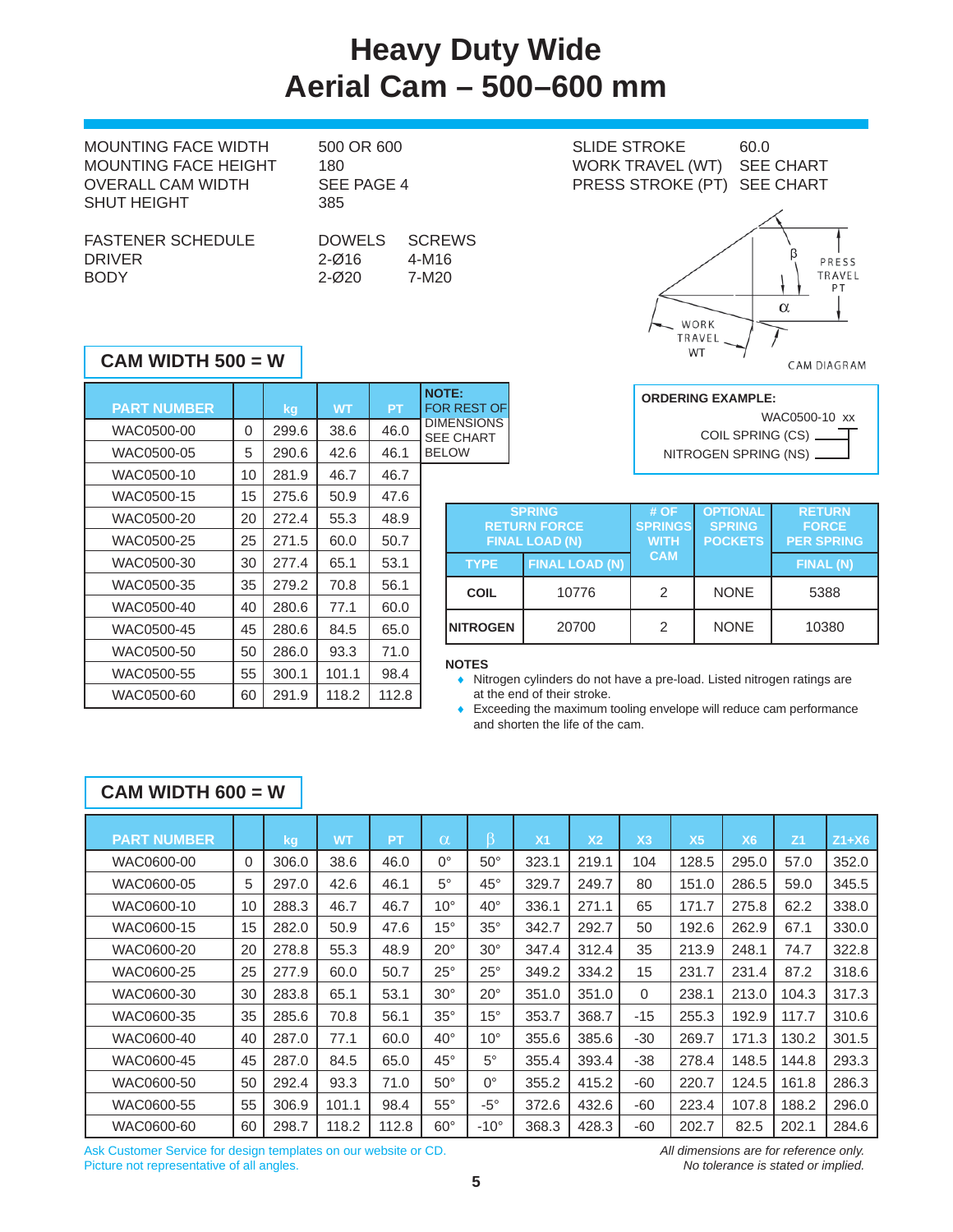## **Heavy Duty Wide Aerial Cam – 500–600 mm**

| <b>MOUNTING FACE WIDTH</b> | 500 OR 600    |               | <b>SLIDE STROKE</b>         | 60.0             |
|----------------------------|---------------|---------------|-----------------------------|------------------|
| MOUNTING FACE HEIGHT       | 180           |               | <b>WORK TRAVEL (WT)</b>     | <b>SEE CHART</b> |
| <b>OVERALL CAM WIDTH</b>   | SEE PAGE 4    |               | PRESS STROKE (PT) SEE CHART |                  |
| <b>SHUT HEIGHT</b>         | 385           |               |                             |                  |
|                            |               |               |                             |                  |
| <b>FASTENER SCHEDULE</b>   | <b>DOWELS</b> | <b>SCREWS</b> |                             |                  |
| <b>DRIVER</b>              | $2 - Ø16$     | 4-M16         |                             | P                |
| <b>BODY</b>                | $2 - 020$     | 7-M20         |                             | <b>TR</b>        |
|                            |               |               |                             |                  |

| <b>DOWELS</b> | <b>SCREWS</b> |
|---------------|---------------|
| 2-016         | 4-M16         |
| 2-Ø20         | 7-M20         |

### **CAM WIDTH 500 = W**

| <b>NOTE:</b><br><b>FOR REST OF</b>    | <b>PT</b> | <b>WT</b> | kg    |    | <b>PART NUMBER</b> |
|---------------------------------------|-----------|-----------|-------|----|--------------------|
| <b>DIMENSIONS</b><br><b>SEE CHART</b> | 46.0      | 38.6      | 299.6 | 0  | WAC0500-00         |
| <b>BELOW</b>                          | 46.1      | 42.6      | 290.6 | 5  | WAC0500-05         |
|                                       | 46.7      | 46.7      | 281.9 | 10 | WAC0500-10         |
|                                       | 47.6      | 50.9      | 275.6 | 15 | WAC0500-15         |
| <b>RE1</b>                            | 48.9      | 55.3      | 272.4 | 20 | WAC0500-20         |
| <b>FIN</b>                            | 50.7      | 60.0      | 271.5 | 25 | WAC0500-25         |
| <b>TYPE</b>                           | 53.1      | 65.1      | 277.4 | 30 | WAC0500-30         |
| <b>COIL</b>                           | 56.1      | 70.8      | 279.2 | 35 | WAC0500-35         |
|                                       | 60.0      | 77.1      | 280.6 | 40 | WAC0500-40         |
| <b>NITROGE</b>                        | 65.0      | 84.5      | 280.6 | 45 | WAC0500-45         |
|                                       | 71.0      | 93.3      | 286.0 | 50 | WAC0500-50         |
| <b>NOTES</b><br>Nitrog                | 98.4      | 101.1     | 300.1 | 55 | WAC0500-55         |
| at the<br>$E_{Y000}$                  | 112.8     | 118.2     | 291.9 | 60 | WAC0500-60         |
|                                       |           |           |       |    |                    |



CAM DIAGRAM



|                  | <b>SPRING</b><br><b>RETURN FORCE</b><br><b>FINAL LOAD (N)</b> | # OF<br><b>SPRINGS</b><br><b>WITH</b> | <b>OPTIONAL</b><br><b>SPRING</b><br><b>POCKETS</b> | <b>RETURN</b><br><b>FORCE</b><br><b>PER SPRING</b> |
|------------------|---------------------------------------------------------------|---------------------------------------|----------------------------------------------------|----------------------------------------------------|
| <b>TYPE</b>      | <b>FINAL LOAD (N)</b>                                         | <b>CAM</b>                            |                                                    | FINAL (N)                                          |
| <b>COIL</b>      | 10776                                                         | 2                                     | <b>NONE</b>                                        | 5388                                               |
| <b>INITROGEN</b> | 20700                                                         | 2                                     | <b>NONE</b>                                        | 10380                                              |

 Nitrogen cylinders do not have a pre-load. Listed nitrogen ratings are at the end of their stroke.

 Exceeding the maximum tooling envelope will reduce cam performance and shorten the life of the cam.

| CAM WIDTH $600 = W$ |          |       |           |           |              |               |                |                |                |                |           |                |         |
|---------------------|----------|-------|-----------|-----------|--------------|---------------|----------------|----------------|----------------|----------------|-----------|----------------|---------|
| <b>PART NUMBER</b>  |          | kg    | <b>WT</b> | <b>PT</b> | $\alpha$     | ß             | X <sub>1</sub> | X <sub>2</sub> | X <sub>3</sub> | X <sub>5</sub> | <b>X6</b> | Z <sub>1</sub> | $Z1+X6$ |
| WAC0600-00          | $\Omega$ | 306.0 | 38.6      | 46.0      | $0^{\circ}$  | $50^\circ$    | 323.1          | 219.1          | 104            | 128.5          | 295.0     | 57.0           | 352.0   |
| WAC0600-05          | 5        | 297.0 | 42.6      | 46.1      | $5^\circ$    | $45^{\circ}$  | 329.7          | 249.7          | 80             | 151.0          | 286.5     | 59.0           | 345.5   |
| WAC0600-10          | 10       | 288.3 | 46.7      | 46.7      | $10^{\circ}$ | $40^{\circ}$  | 336.1          | 271.1          | 65             | 171.7          | 275.8     | 62.2           | 338.0   |
| WAC0600-15          | 15       | 282.0 | 50.9      | 47.6      | $15^{\circ}$ | $35^\circ$    | 342.7          | 292.7          | 50             | 192.6          | 262.9     | 67.1           | 330.0   |
| WAC0600-20          | 20       | 278.8 | 55.3      | 48.9      | $20^{\circ}$ | $30^\circ$    | 347.4          | 312.4          | 35             | 213.9          | 248.1     | 74.7           | 322.8   |
| WAC0600-25          | 25       | 277.9 | 60.0      | 50.7      | $25^{\circ}$ | $25^{\circ}$  | 349.2          | 334.2          | 15             | 231.7          | 231.4     | 87.2           | 318.6   |
| WAC0600-30          | 30       | 283.8 | 65.1      | 53.1      | $30^\circ$   | $20^{\circ}$  | 351.0          | 351.0          | $\Omega$       | 238.1          | 213.0     | 104.3          | 317.3   |
| WAC0600-35          | 35       | 285.6 | 70.8      | 56.1      | $35^\circ$   | $15^{\circ}$  | 353.7          | 368.7          | $-15$          | 255.3          | 192.9     | 117.7          | 310.6   |
| WAC0600-40          | 40       | 287.0 | 77.1      | 60.0      | $40^{\circ}$ | $10^{\circ}$  | 355.6          | 385.6          | $-30$          | 269.7          | 171.3     | 130.2          | 301.5   |
| WAC0600-45          | 45       | 287.0 | 84.5      | 65.0      | $45^{\circ}$ | $5^\circ$     | 355.4          | 393.4          | $-38$          | 278.4          | 148.5     | 144.8          | 293.3   |
| WAC0600-50          | 50       | 292.4 | 93.3      | 71.0      | $50^{\circ}$ | $0^{\circ}$   | 355.2          | 415.2          | -60            | 220.7          | 124.5     | 161.8          | 286.3   |
| WAC0600-55          | 55       | 306.9 | 101.1     | 98.4      | $55^{\circ}$ | $-5^\circ$    | 372.6          | 432.6          | -60            | 223.4          | 107.8     | 188.2          | 296.0   |
| WAC0600-60          | 60       | 298.7 | 118.2     | 112.8     | $60^\circ$   | $-10^{\circ}$ | 368.3          | 428.3          | $-60$          | 202.7          | 82.5      | 202.1          | 284.6   |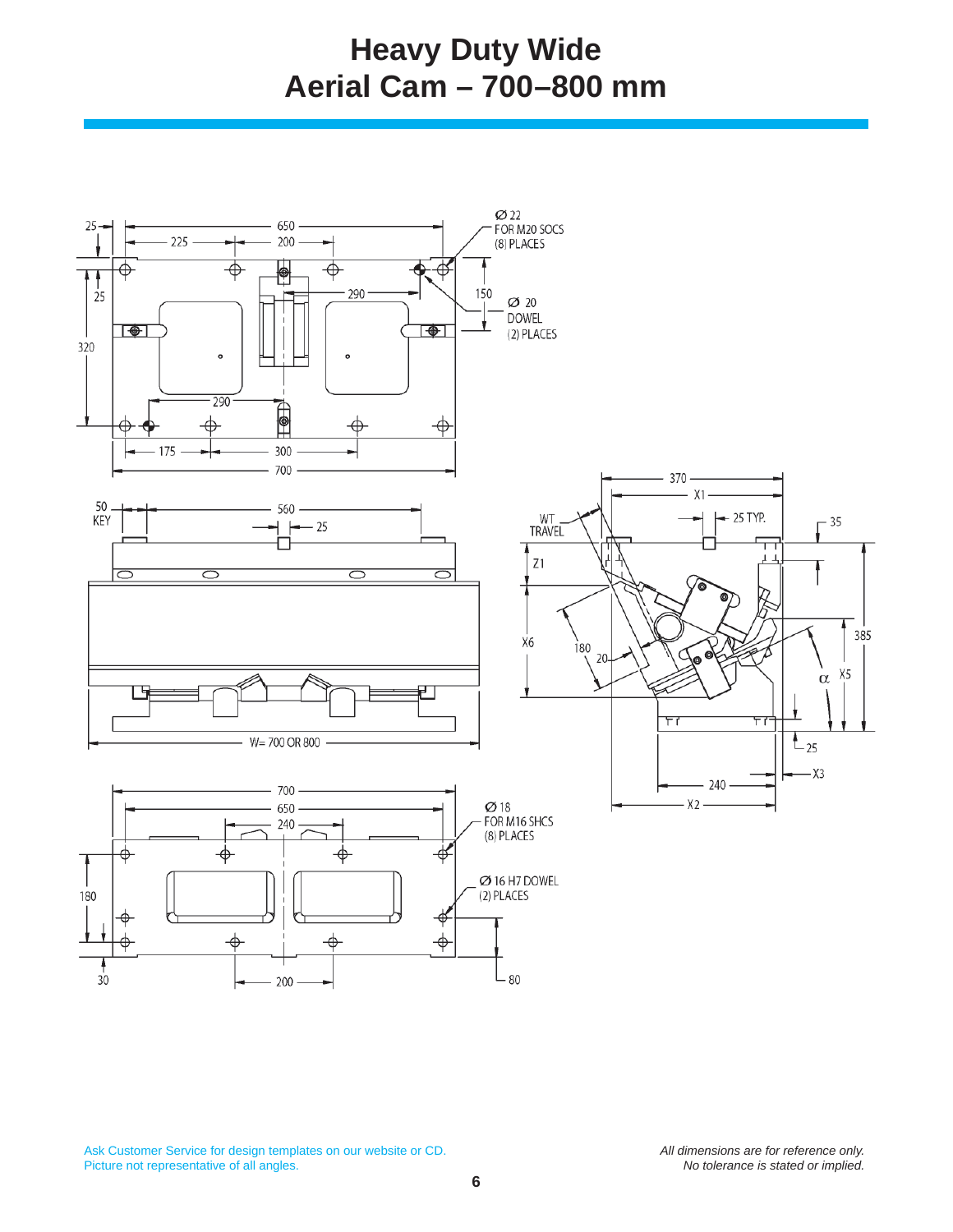## **Heavy Duty Wide Aerial Cam – 700–800 mm**

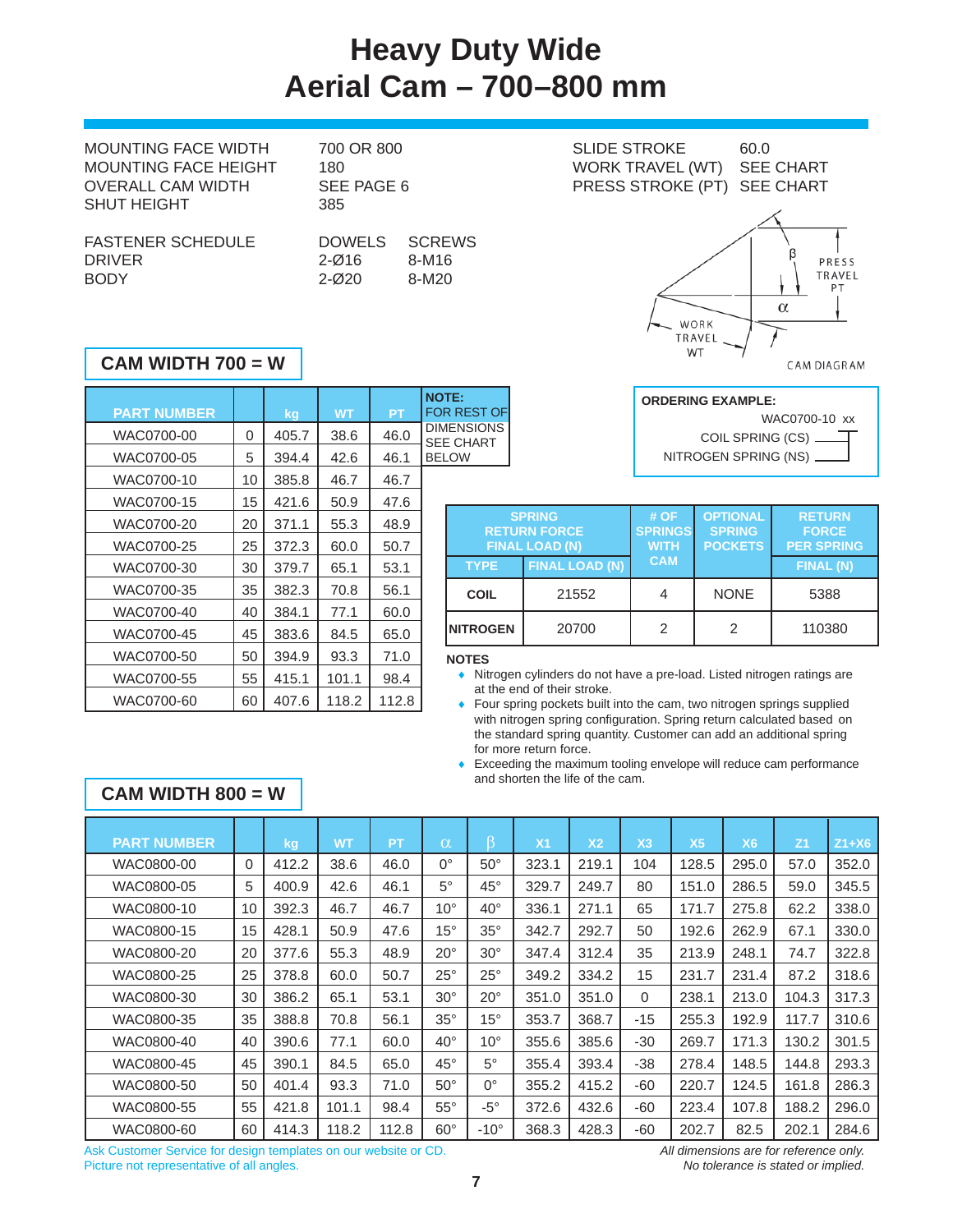## **Heavy Duty Wide Aerial Cam – 700–800 mm**

MOUNTING FACE WIDTH 700 OR 800 SLIDE STROKE 60.0 SHUT HEIGHT 385  $\mathbf{F}$ 

| FASTENER SCHEDULE | DOWELS SCREV |       |
|-------------------|--------------|-------|
| <b>DRIVER</b>     | $2 - 016$    | 8-M16 |
| <b>BODY</b>       | $2 - 020$    | 8-M20 |

DOWELS SCREWS 2-Ø20 8-M20

### **CAM WIDTH 700 = W**

| <b>NOTE:</b><br><b>FOR REST OF</b>    | PT    | <b>WT</b> | kg    |    | <b>PART NUMBER</b> |
|---------------------------------------|-------|-----------|-------|----|--------------------|
| <b>DIMENSIONS</b><br><b>SEE CHART</b> | 46.0  | 38.6      | 405.7 | 0  | WAC0700-00         |
| <b>BELOW</b>                          | 46.1  | 42.6      | 394.4 | 5  | WAC0700-05         |
|                                       | 46.7  | 46.7      | 385.8 | 10 | WAC0700-10         |
|                                       | 47.6  | 50.9      | 421.6 | 15 | WAC0700-15         |
| RE <sup>®</sup>                       | 48.9  | 55.3      | 371.1 | 20 | WAC0700-20         |
| <b>FIN</b>                            | 50.7  | 60.0      | 372.3 | 25 | WAC0700-25         |
| <b>TYPE</b>                           | 53.1  | 65.1      | 379.7 | 30 | WAC0700-30         |
| <b>COIL</b>                           | 56.1  | 70.8      | 382.3 | 35 | WAC0700-35         |
|                                       | 60.0  | 77.1      | 384.1 | 40 | WAC0700-40         |
| <b>NITROGE</b>                        | 65.0  | 84.5      | 383.6 | 45 | WAC0700-45         |
| <b>NOTES</b>                          | 71.0  | 93.3      | 394.9 | 50 | WAC0700-50         |
| Nitroc                                | 98.4  | 101.1     | 415.1 | 55 | WAC0700-55         |
| at the<br>Four:                       | 112.8 | 118.2     | 407.6 | 60 | WAC0700-60         |
|                                       |       |           |       |    |                    |



#### **ORDERING EXAMPLE:** WAC0700-10 xx COIL SPRING (CS) ┓ NITROGEN SPRING (NS)

CAM DIAGRAM

|                  | <b>SPRING</b><br><b>RETURN FORCE</b><br><b>FINAL LOAD (N)</b> | #OF<br><b>SPRINGS</b><br><b>WITH</b> | <b>OPTIONAL</b><br><b>SPRING</b><br><b>POCKETS</b> | <b>RETURN</b><br><b>FORCE</b><br><b>PER SPRING</b> |
|------------------|---------------------------------------------------------------|--------------------------------------|----------------------------------------------------|----------------------------------------------------|
| <b>TYPE</b>      | <b>FINAL LOAD (N)</b>                                         | <b>CAM</b>                           |                                                    | <b>FINAL (N)</b>                                   |
| <b>COIL</b>      | 21552                                                         |                                      | <b>NONE</b>                                        | 5388                                               |
| <b>INITROGEN</b> | 20700                                                         | 2                                    | 2                                                  | 110380                                             |

### **NOTES**

- Nitrogen cylinders do not have a pre-load. Listed nitrogen ratings are at the end of their stroke.
- Four spring pockets built into the cam, two nitrogen springs supplied with nitrogen spring configuration. Spring return calculated based on the standard spring quantity. Customer can add an additional spring for more return force.
- Exceeding the maximum tooling envelope will reduce cam performance and shorten the life of the cam.

### **CAM WIDTH 800 = W**

| <b>PART NUMBER</b> |          | kg,   | <b>WT</b> | PT    | $\alpha$     |              | X <sub>1</sub> | X <sub>2</sub> | X <sub>3</sub> | X <sub>5</sub> | X <sub>6</sub> | Z <sub>1</sub> | $Z1+X6$ |
|--------------------|----------|-------|-----------|-------|--------------|--------------|----------------|----------------|----------------|----------------|----------------|----------------|---------|
| WAC0800-00         | $\Omega$ | 412.2 | 38.6      | 46.0  | $0^{\circ}$  | $50^\circ$   | 323.1          | 219.1          | 104            | 128.5          | 295.0          | 57.0           | 352.0   |
| WAC0800-05         | 5        | 400.9 | 42.6      | 46.1  | $5^\circ$    | $45^{\circ}$ | 329.7          | 249.7          | 80             | 151.0          | 286.5          | 59.0           | 345.5   |
| WAC0800-10         | 10       | 392.3 | 46.7      | 46.7  | $10^{\circ}$ | $40^{\circ}$ | 336.1          | 271.1          | 65             | 171.7          | 275.8          | 62.2           | 338.0   |
| WAC0800-15         | 15       | 428.1 | 50.9      | 47.6  | $15^{\circ}$ | $35^\circ$   | 342.7          | 292.7          | 50             | 192.6          | 262.9          | 67.1           | 330.0   |
| WAC0800-20         | 20       | 377.6 | 55.3      | 48.9  | $20^{\circ}$ | $30^\circ$   | 347.4          | 312.4          | 35             | 213.9          | 248.1          | 74.7           | 322.8   |
| WAC0800-25         | 25       | 378.8 | 60.0      | 50.7  | $25^{\circ}$ | $25^{\circ}$ | 349.2          | 334.2          | 15             | 231.7          | 231.4          | 87.2           | 318.6   |
| WAC0800-30         | 30       | 386.2 | 65.1      | 53.1  | $30^\circ$   | $20^{\circ}$ | 351.0          | 351.0          | $\Omega$       | 238.1          | 213.0          | 104.3          | 317.3   |
| WAC0800-35         | 35       | 388.8 | 70.8      | 56.1  | $35^\circ$   | $15^{\circ}$ | 353.7          | 368.7          | $-15$          | 255.3          | 192.9          | 117.7          | 310.6   |
| WAC0800-40         | 40       | 390.6 | 77.1      | 60.0  | $40^{\circ}$ | $10^{\circ}$ | 355.6          | 385.6          | -30            | 269.7          | 171.3          | 130.2          | 301.5   |
| WAC0800-45         | 45       | 390.1 | 84.5      | 65.0  | $45^{\circ}$ | $5^{\circ}$  | 355.4          | 393.4          | -38            | 278.4          | 148.5          | 144.8          | 293.3   |
| WAC0800-50         | 50       | 401.4 | 93.3      | 71.0  | $50^{\circ}$ | 0°           | 355.2          | 415.2          | -60            | 220.7          | 124.5          | 161.8          | 286.3   |
| WAC0800-55         | 55       | 421.8 | 101.1     | 98.4  | $55^{\circ}$ | $-5^{\circ}$ | 372.6          | 432.6          | -60            | 223.4          | 107.8          | 188.2          | 296.0   |
| WAC0800-60         | 60       | 414.3 | 118.2     | 112.8 | $60^{\circ}$ | $-10^\circ$  | 368.3          | 428.3          | -60            | 202.7          | 82.5           | 202.1          | 284.6   |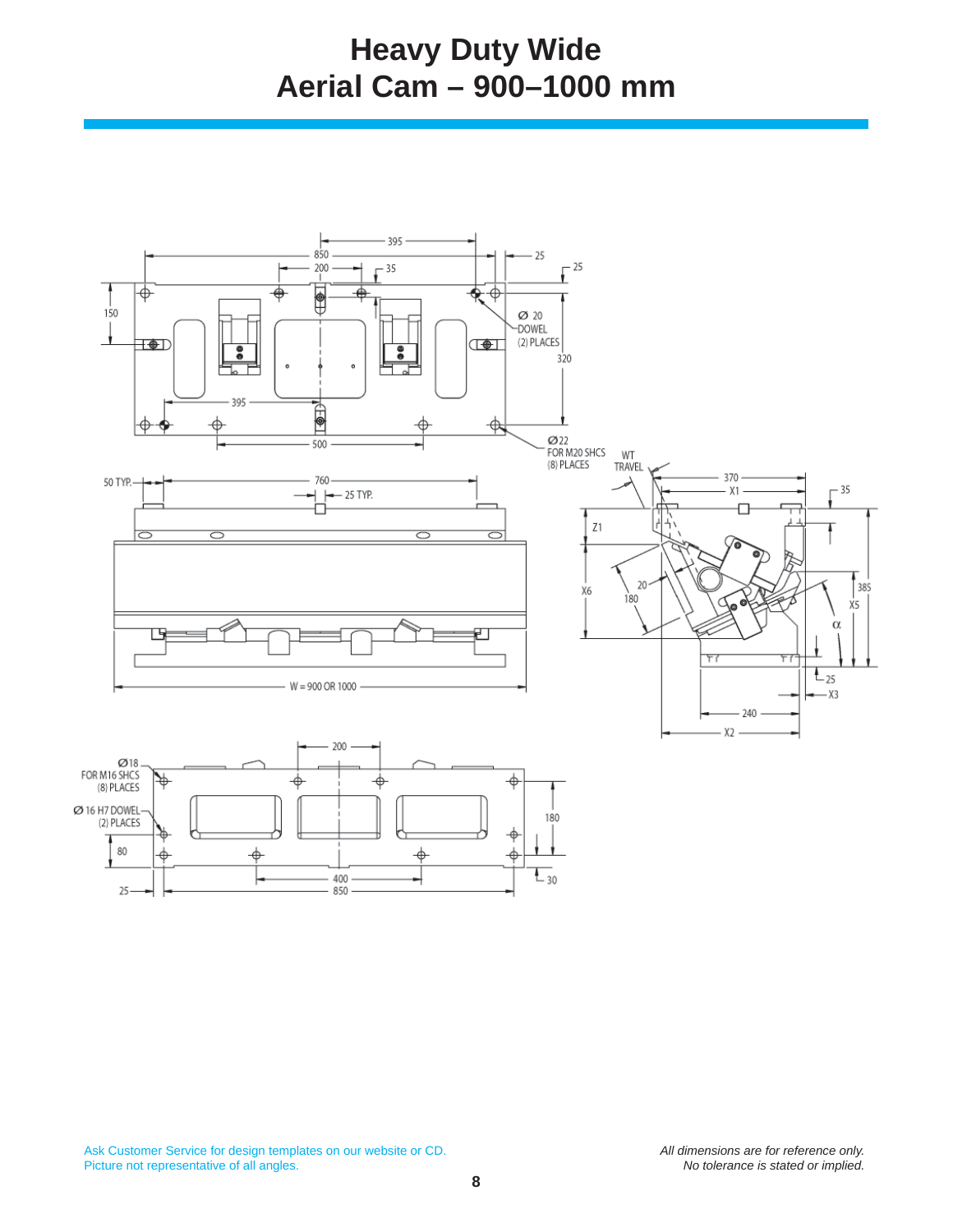## **Heavy Duty Wide Aerial Cam – 900–1000 mm**

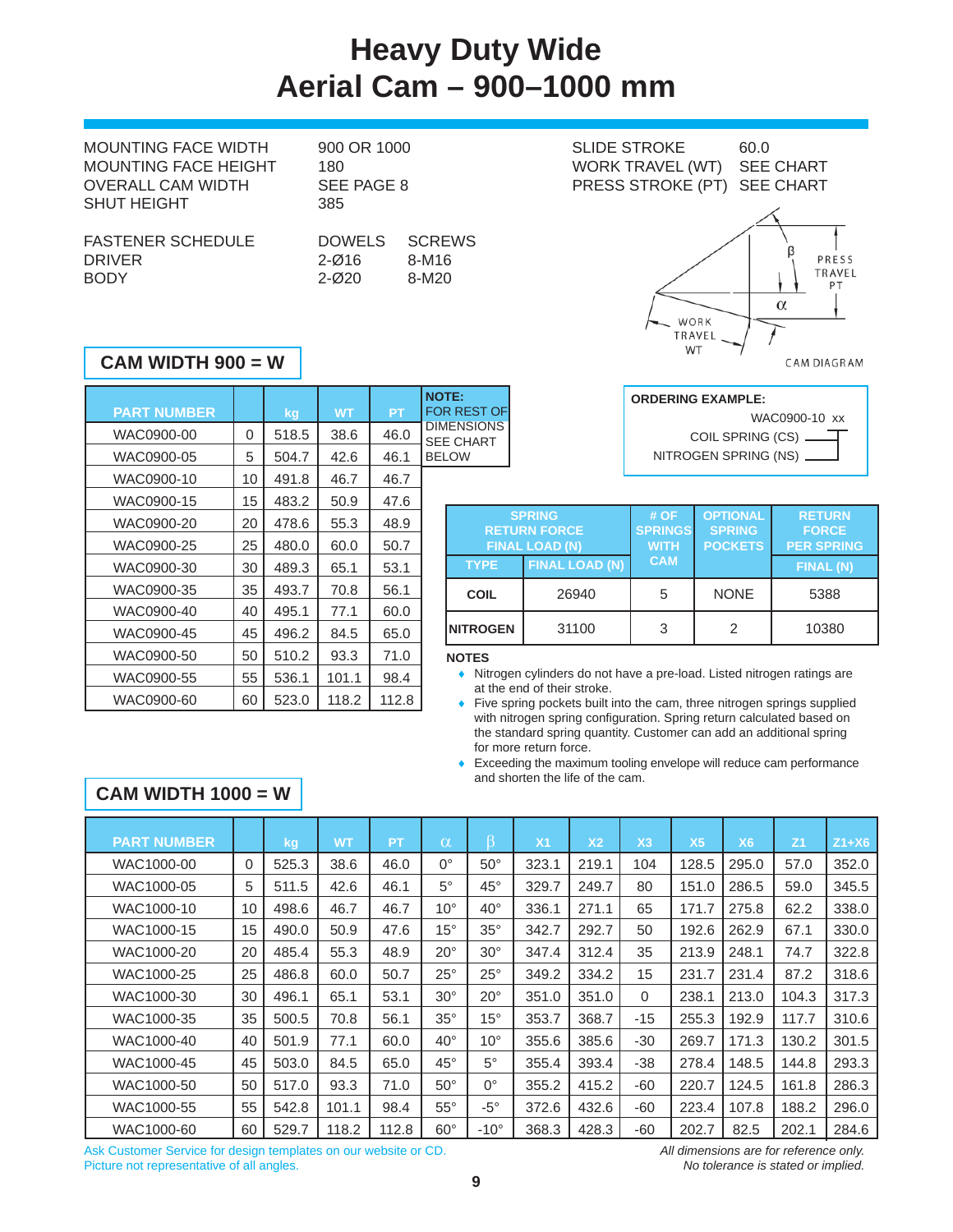## **Heavy Duty Wide Aerial Cam – 900–1000 mm**

| MOUNTING FACE WIDTH      | 900 OR 1000 |               |
|--------------------------|-------------|---------------|
| MOUNTING FACE HEIGHT     | 180         |               |
| OVERALL CAM WIDTH        | SEE PAGE 8  |               |
| <b>SHUT HEIGHT</b>       | 385         |               |
|                          |             |               |
| <b>FASTENER SCHEDULE</b> | DOWELS      | <b>SCREWS</b> |
| <b>DRIVER</b>            | $2 - Ø16$   | 8-M16         |

| )OWELS | <b>SCRE</b> |
|--------|-------------|
| '-016  | 8-M16       |

| 900 OR 1000<br>180<br>SEE PAGE 8 |                | <b>SLIDE STROKE</b><br>WORK TRAVEL (WT)<br>PRESS STROKE (PT) SEE CHART | 60.0<br><b>SEE CHART</b> |  |
|----------------------------------|----------------|------------------------------------------------------------------------|--------------------------|--|
| 385<br><b>DOWELS</b>             | <b>SCREWS</b>  |                                                                        |                          |  |
| $2 - Ø16$<br>$2 - 020$           | 8-M16<br>8-M20 |                                                                        | PRESS<br>TRAVEL<br>PТ    |  |

WORK TRAVEL WT

### **CAM WIDTH 900 = W**

| <b>NOTE:</b><br><b>FOR REST OF</b>    | PT    | <b>WT</b> | kg    |    | <b>PART NUMBER</b> |
|---------------------------------------|-------|-----------|-------|----|--------------------|
| <b>DIMENSIONS</b><br><b>SEE CHART</b> | 46.0  | 38.6      | 518.5 | 0  | WAC0900-00         |
| <b>BELOW</b>                          | 46.1  | 42.6      | 504.7 | 5  | WAC0900-05         |
|                                       | 46.7  | 46.7      | 491.8 | 10 | WAC0900-10         |
|                                       | 47.6  | 50.9      | 483.2 | 15 | WAC0900-15         |
| <b>RET</b>                            | 48.9  | 55.3      | 478.6 | 20 | WAC0900-20         |
| <b>FIN</b>                            | 50.7  | 60.0      | 480.0 | 25 | WAC0900-25         |
| <b>TYPE</b>                           | 53.1  | 65.1      | 489.3 | 30 | WAC0900-30         |
| <b>COIL</b>                           | 56.1  | 70.8      | 493.7 | 35 | WAC0900-35         |
|                                       | 60.0  | 77.1      | 495.1 | 40 | WAC0900-40         |
| <b>NITROGE</b>                        | 65.0  | 84.5      | 496.2 | 45 | WAC0900-45         |
| <b>NOTES</b>                          | 71.0  | 93.3      | 510.2 | 50 | WAC0900-50         |
| Nitrog                                | 98.4  | 101.1     | 536.1 | 55 | WAC0900-55         |
| at the<br>Five s                      | 112.8 | 118.2     | 523.0 | 60 | WAC0900-60         |

BODY 2-Ø20 8-M20

|                          | CAM DIAGRAM   |
|--------------------------|---------------|
| <b>ORDERING EXAMPLE:</b> |               |
|                          | WAC0900-10 xx |



|                  | <b>SPRING</b><br><b>RETURN FORCE</b><br><b>FINAL LOAD (N)</b> | #OF<br><b>SPRINGS</b><br><b>WITH</b> | <b>OPTIONAL</b><br><b>SPRING</b><br><b>POCKETS</b> | <b>RETURN</b><br><b>FORCE</b><br><b>PER SPRING</b> |  |  |
|------------------|---------------------------------------------------------------|--------------------------------------|----------------------------------------------------|----------------------------------------------------|--|--|
| <b>TYPE</b>      | <b>FINAL LOAD (N)</b>                                         | <b>CAM</b>                           |                                                    | FINAL (N)                                          |  |  |
| <b>COIL</b>      | 26940                                                         | 5                                    | <b>NONE</b>                                        | 5388                                               |  |  |
| <b>INITROGEN</b> | 31100                                                         | 3                                    |                                                    | 10380                                              |  |  |

### **NOTES**

- Nitrogen cylinders do not have a pre-load. Listed nitrogen ratings are at the end of their stroke.
- Five spring pockets built into the cam, three nitrogen springs supplied with nitrogen spring configuration. Spring return calculated based on the standard spring quantity. Customer can add an additional spring for more return force.
- Exceeding the maximum tooling envelope will reduce cam performance and shorten the life of the cam.

### **CAM WIDTH 1000 = W**

| <b>PART NUMBER</b> |    | kg    | <b>WT</b> | PT    | $\alpha$     | ß            | X <sub>1</sub> | X <sub>2</sub> | X <sub>3</sub> | X <sub>5</sub> | <b>X6</b> | Z <sub>1</sub> | $Z1+X6$ |
|--------------------|----|-------|-----------|-------|--------------|--------------|----------------|----------------|----------------|----------------|-----------|----------------|---------|
| WAC1000-00         | 0  | 525.3 | 38.6      | 46.0  | $0^{\circ}$  | $50^{\circ}$ | 323.1          | 219.1          | 104            | 128.5          | 295.0     | 57.0           | 352.0   |
| WAC1000-05         | 5  | 511.5 | 42.6      | 46.1  | $5^{\circ}$  | $45^{\circ}$ | 329.7          | 249.7          | 80             | 151.0          | 286.5     | 59.0           | 345.5   |
| WAC1000-10         | 10 | 498.6 | 46.7      | 46.7  | $10^{\circ}$ | $40^{\circ}$ | 336.1          | 271.1          | 65             | 171.7          | 275.8     | 62.2           | 338.0   |
| WAC1000-15         | 15 | 490.0 | 50.9      | 47.6  | $15^{\circ}$ | $35^\circ$   | 342.7          | 292.7          | 50             | 192.6          | 262.9     | 67.1           | 330.0   |
| WAC1000-20         | 20 | 485.4 | 55.3      | 48.9  | $20^{\circ}$ | $30^\circ$   | 347.4          | 312.4          | 35             | 213.9          | 248.1     | 74.7           | 322.8   |
| WAC1000-25         | 25 | 486.8 | 60.0      | 50.7  | $25^{\circ}$ | $25^{\circ}$ | 349.2          | 334.2          | 15             | 231.7          | 231.4     | 87.2           | 318.6   |
| WAC1000-30         | 30 | 496.1 | 65.1      | 53.1  | $30^\circ$   | $20^{\circ}$ | 351.0          | 351.0          | $\Omega$       | 238.1          | 213.0     | 104.3          | 317.3   |
| WAC1000-35         | 35 | 500.5 | 70.8      | 56.1  | $35^\circ$   | $15^{\circ}$ | 353.7          | 368.7          | $-15$          | 255.3          | 192.9     | 117.7          | 310.6   |
| WAC1000-40         | 40 | 501.9 | 77.1      | 60.0  | $40^{\circ}$ | $10^{\circ}$ | 355.6          | 385.6          | $-30$          | 269.7          | 171.3     | 130.2          | 301.5   |
| WAC1000-45         | 45 | 503.0 | 84.5      | 65.0  | $45^{\circ}$ | $5^{\circ}$  | 355.4          | 393.4          | $-38$          | 278.4          | 148.5     | 144.8          | 293.3   |
| WAC1000-50         | 50 | 517.0 | 93.3      | 71.0  | $50^\circ$   | 0°           | 355.2          | 415.2          | $-60$          | 220.7          | 124.5     | 161.8          | 286.3   |
| WAC1000-55         | 55 | 542.8 | 101.1     | 98.4  | $55^{\circ}$ | $-5^\circ$   | 372.6          | 432.6          | $-60$          | 223.4          | 107.8     | 188.2          | 296.0   |
| WAC1000-60         | 60 | 529.7 | 118.2     | 112.8 | $60^{\circ}$ | $-10^\circ$  | 368.3          | 428.3          | $-60$          | 202.7          | 82.5      | 202.1          | 284.6   |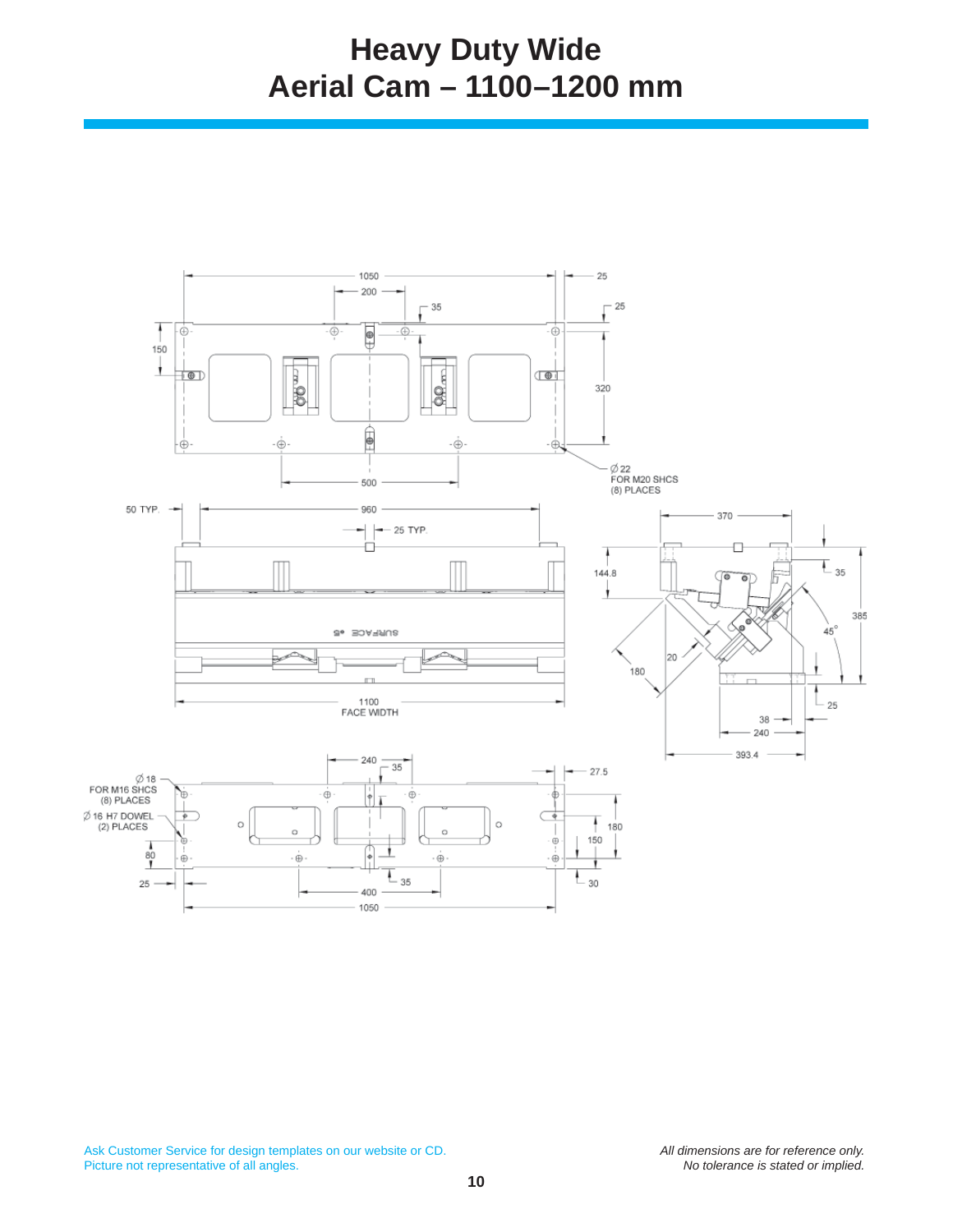## **Heavy Duty Wide Aerial Cam – 1100–1200 mm**

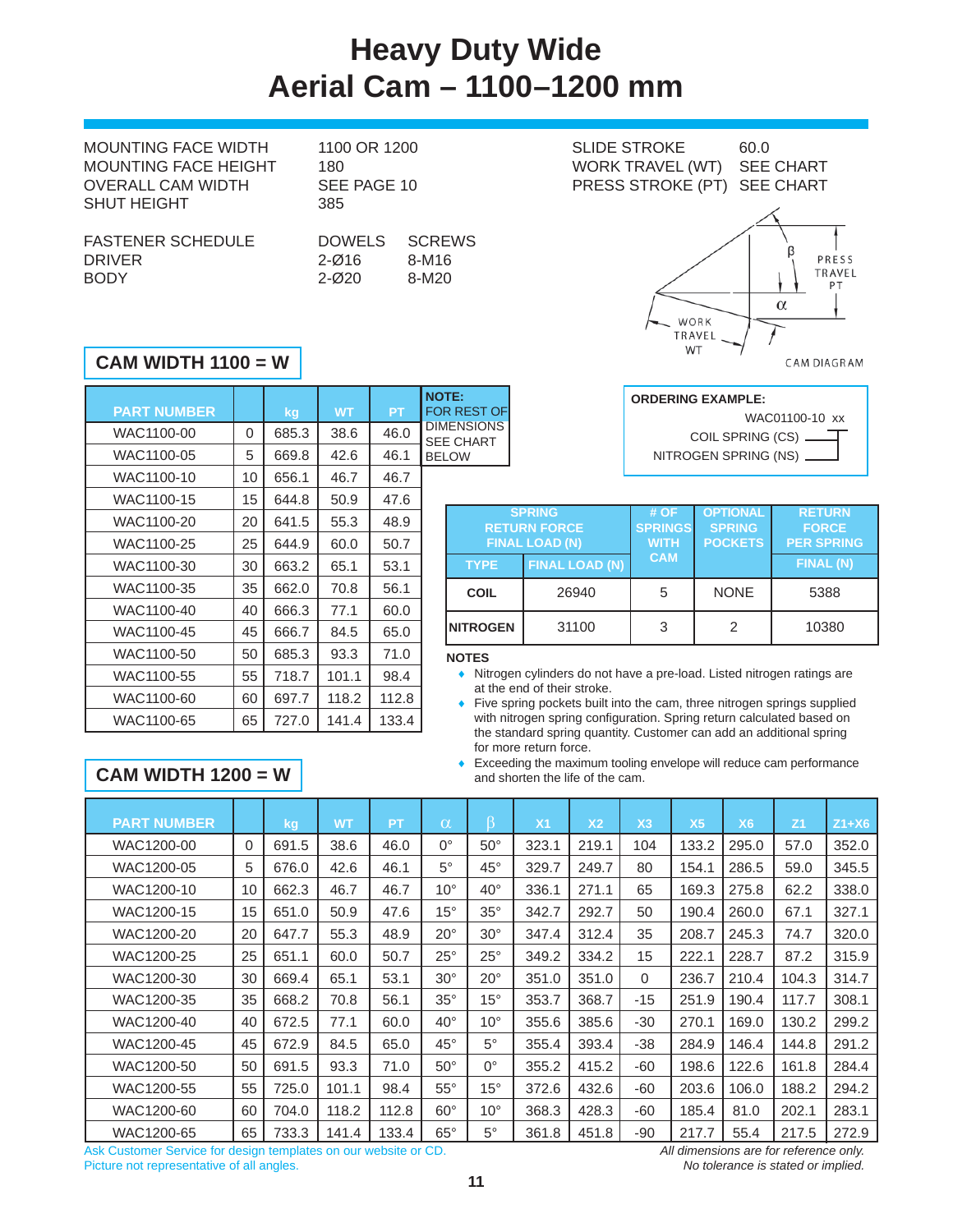## **Heavy Duty Wide Aerial Cam – 1100–1200 mm**

1100 OR 1200 SLIDE STROKE 60.0

| <b>MOUNTING FACE WIDTH</b>  | 1100 OR 1200         |               |  |  |  |  |
|-----------------------------|----------------------|---------------|--|--|--|--|
| <b>MOUNTING FACE HEIGHT</b> | 180                  |               |  |  |  |  |
| OVERALL CAM WIDTH           | SEE PAGE 10          |               |  |  |  |  |
| <b>SHUT HEIGHT</b>          | 385                  |               |  |  |  |  |
|                             |                      |               |  |  |  |  |
| <b>FASTENER SCHEDULE</b>    |                      | DOWELS SCREWS |  |  |  |  |
| <b>DDII</b> IED             | $\sim$ $\sim$ $\sim$ | <b>0.000</b>  |  |  |  |  |

| 180           | WORK TRAVEL (WT) SEE CHART  |  |
|---------------|-----------------------------|--|
| SEE PAGE 10   | PRESS STROKE (PT) SEE CHART |  |
| 385           |                             |  |
| DOWELS SCREWS |                             |  |

DRIVER 2-Ø16 8-M16 BODY 2-Ø20 8-M20

# WORK TRAVEL

WT

### **CAM WIDTH 1100 = W**

| <b>NOTE:</b>                          |           |           |       |    |                    |  |
|---------------------------------------|-----------|-----------|-------|----|--------------------|--|
| <b>FOR REST OF</b>                    | <b>PT</b> | <b>WT</b> | kg    |    | <b>PART NUMBER</b> |  |
| <b>DIMENSIONS</b><br><b>SEE CHART</b> | 46.0      | 38.6      | 685.3 | 0  | WAC1100-00         |  |
| <b>BELOW</b>                          | 46.1      | 42.6      | 669.8 | 5  | WAC1100-05         |  |
|                                       | 46.7      | 46.7      | 656.1 | 10 | WAC1100-10         |  |
|                                       | 47.6      | 50.9      | 644.8 | 15 | WAC1100-15         |  |
| <b>RE1</b>                            | 48.9      | 55.3      | 641.5 | 20 | WAC1100-20         |  |
| <b>FIN</b>                            | 50.7      | 60.0      | 644.9 | 25 | WAC1100-25         |  |
| <b>TYPE</b>                           | 53.1      | 65.1      | 663.2 | 30 | WAC1100-30         |  |
| <b>COIL</b>                           | 56.1      | 70.8      | 662.0 | 35 | WAC1100-35         |  |
|                                       | 60.0      | 77.1      | 666.3 | 40 | WAC1100-40         |  |
| <b>NITROGE</b>                        | 65.0      | 84.5      | 666.7 | 45 | WAC1100-45         |  |
| <b>NOTES</b>                          | 71.0      | 93.3      | 685.3 | 50 | WAC1100-50         |  |
| Nitrog                                | 98.4      | 101.1     | 718.7 | 55 | WAC1100-55         |  |
| at the<br>Five s                      | 112.8     | 118.2     | 697.7 | 60 | WAC1100-60         |  |
| with n<br>$+ \sim -1$                 | 133.4     | 141.4     | 727.0 | 65 | WAC1100-65         |  |

| <b>ORDERING EXAMPLE:</b> |
|--------------------------|
| WAC01100-10 xx           |
| COIL SPRING (CS) __      |
| NITROGEN SPRING (NS) _   |

β

 $\alpha$ 

PRESS TRAVEL PT

CAM DIAGRAM

|                  | <b>SPRING</b><br><b>RETURN FORCE</b><br><b>FINAL LOAD (N)</b> | # OF<br><b>SPRINGS</b><br><b>WITH</b> | <b>OPTIONAL</b><br><b>SPRING</b><br><b>POCKETS</b> | <b>RETURN</b><br><b>FORCE</b><br><b>PER SPRING</b> |  |  |
|------------------|---------------------------------------------------------------|---------------------------------------|----------------------------------------------------|----------------------------------------------------|--|--|
| <b>TYPE</b>      | <b>FINAL LOAD (N)</b>                                         | <b>CAM</b>                            |                                                    | <b>FINAL (N)</b>                                   |  |  |
| <b>COIL</b>      | 26940                                                         | 5                                     | <b>NONE</b>                                        | 5388                                               |  |  |
| <b>INITROGEN</b> | 31100                                                         | 3                                     |                                                    | 10380                                              |  |  |

### **NOTES**

- Nitrogen cylinders do not have a pre-load. Listed nitrogen ratings are at the end of their stroke.
- Five spring pockets built into the cam, three nitrogen springs supplied with nitrogen spring configuration. Spring return calculated based on the standard spring quantity. Customer can add an additional spring for more return force.
- Exceeding the maximum tooling envelope will reduce cam performance and shorten the life of the cam.

### **CAM WIDTH 1200 = W**

| <b>PART NUMBER</b> |          | kg    | <b>WT</b> | <b>PT</b> | $\alpha$     | ß            | X <sub>1</sub> | X <sub>2</sub> | X <sub>3</sub> | X <sub>5</sub> | X <sub>6</sub> | Z <sub>1</sub> | $Z1+X6$ |
|--------------------|----------|-------|-----------|-----------|--------------|--------------|----------------|----------------|----------------|----------------|----------------|----------------|---------|
| WAC1200-00         | $\Omega$ | 691.5 | 38.6      | 46.0      | $0^{\circ}$  | $50^{\circ}$ | 323.1          | 219.1          | 104            | 133.2          | 295.0          | 57.0           | 352.0   |
| WAC1200-05         | 5        | 676.0 | 42.6      | 46.1      | $5^\circ$    | $45^{\circ}$ | 329.7          | 249.7          | 80             | 154.1          | 286.5          | 59.0           | 345.5   |
| WAC1200-10         | 10       | 662.3 | 46.7      | 46.7      | $10^{\circ}$ | $40^{\circ}$ | 336.1          | 271.1          | 65             | 169.3          | 275.8          | 62.2           | 338.0   |
| WAC1200-15         | 15       | 651.0 | 50.9      | 47.6      | $15^{\circ}$ | $35^\circ$   | 342.7          | 292.7          | 50             | 190.4          | 260.0          | 67.1           | 327.1   |
| WAC1200-20         | 20       | 647.7 | 55.3      | 48.9      | $20^{\circ}$ | $30^{\circ}$ | 347.4          | 312.4          | 35             | 208.7          | 245.3          | 74.7           | 320.0   |
| WAC1200-25         | 25       | 651.1 | 60.0      | 50.7      | $25^{\circ}$ | $25^{\circ}$ | 349.2          | 334.2          | 15             | 222.1          | 228.7          | 87.2           | 315.9   |
| WAC1200-30         | 30       | 669.4 | 65.1      | 53.1      | $30^{\circ}$ | $20^{\circ}$ | 351.0          | 351.0          | $\Omega$       | 236.7          | 210.4          | 104.3          | 314.7   |
| WAC1200-35         | 35       | 668.2 | 70.8      | 56.1      | $35^\circ$   | $15^{\circ}$ | 353.7          | 368.7          | $-15$          | 251.9          | 190.4          | 117.7          | 308.1   |
| WAC1200-40         | 40       | 672.5 | 77.1      | 60.0      | $40^{\circ}$ | $10^{\circ}$ | 355.6          | 385.6          | $-30$          | 270.1          | 169.0          | 130.2          | 299.2   |
| WAC1200-45         | 45       | 672.9 | 84.5      | 65.0      | $45^{\circ}$ | $5^{\circ}$  | 355.4          | 393.4          | $-38$          | 284.9          | 146.4          | 144.8          | 291.2   |
| WAC1200-50         | 50       | 691.5 | 93.3      | 71.0      | $50^\circ$   | 0°           | 355.2          | 415.2          | $-60$          | 198.6          | 122.6          | 161.8          | 284.4   |
| WAC1200-55         | 55       | 725.0 | 101.1     | 98.4      | $55^{\circ}$ | $15^{\circ}$ | 372.6          | 432.6          | $-60$          | 203.6          | 106.0          | 188.2          | 294.2   |
| WAC1200-60         | 60       | 704.0 | 118.2     | 112.8     | $60^\circ$   | $10^{\circ}$ | 368.3          | 428.3          | -60            | 185.4          | 81.0           | 202.1          | 283.1   |
| WAC1200-65         | 65       | 733.3 | 141.4     | 133.4     | $65^\circ$   | $5^{\circ}$  | 361.8          | 451.8          | -90            | 217.7          | 55.4           | 217.5          | 272.9   |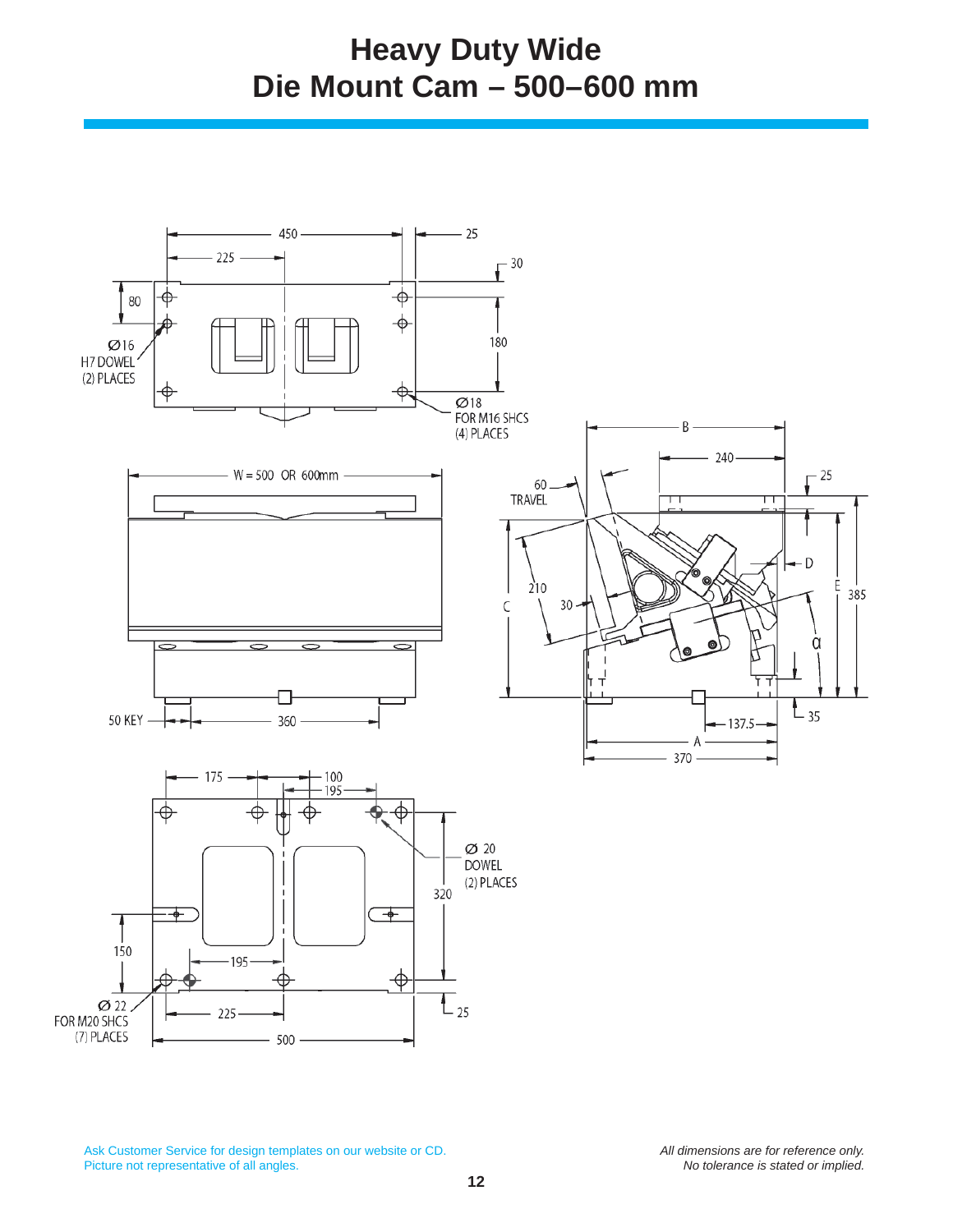### **Heavy Duty Wide Die Mount Cam – 500–600 mm**

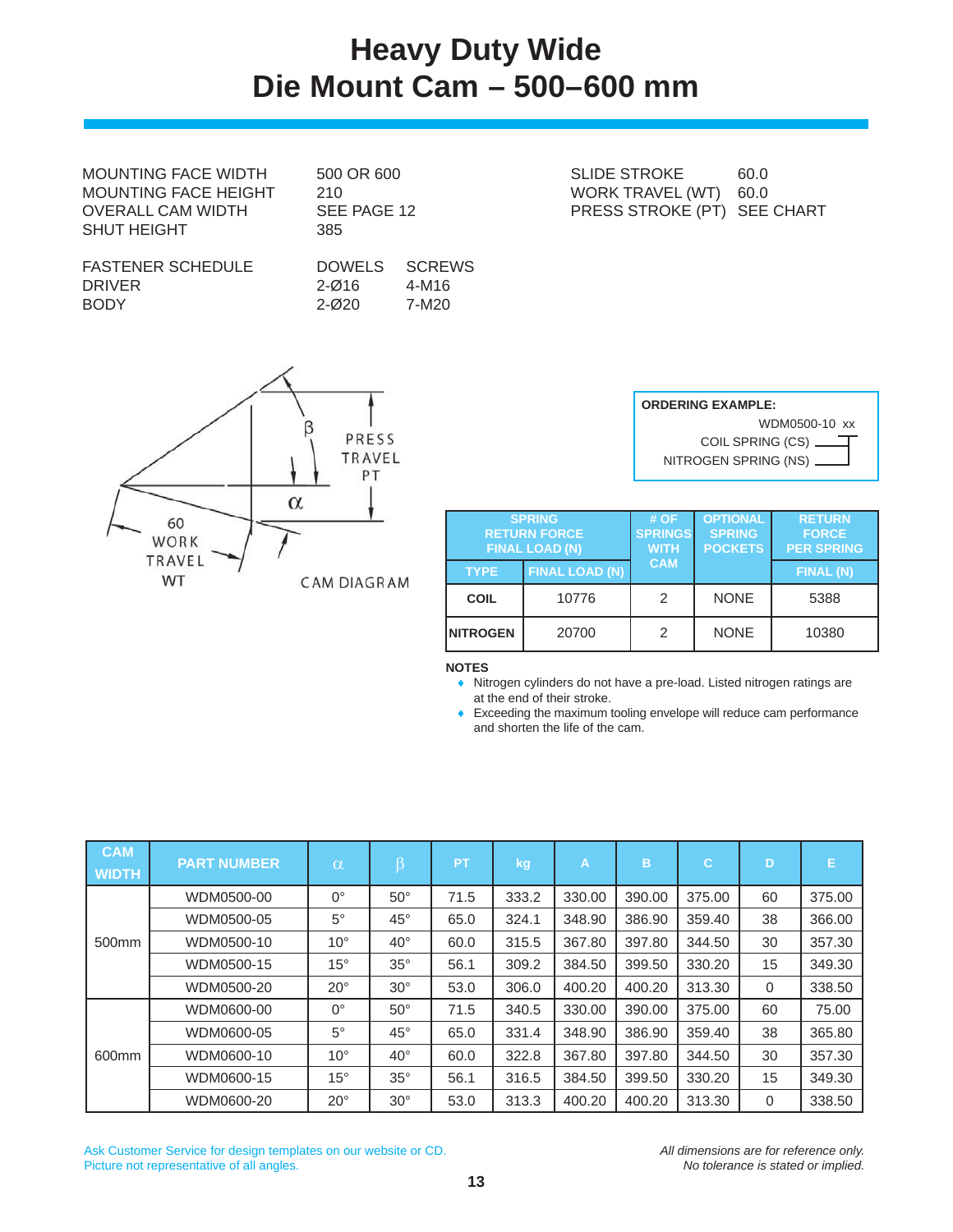## **Heavy Duty Wide Die Mount Cam – 500–600 mm**

MOUNTING FACE WIDTH 500 OR 600 SLIDE STROKE 60.0 MOUNTING FACE HEIGHT 210 210 WORK TRAVEL (WT) 60.0 SHUT HEIGHT
385

| <b>FASTENER SCHEDULE</b> |  |
|--------------------------|--|
| DRIVER                   |  |
| <b>BODY</b>              |  |

DOWELS SCREWS 2-Ø16 4-M16 2-Ø20 7-M20

OVERALL CAM WIDTH SEE PAGE 12 PRESS STROKE (PT) SEE CHART

|                                   | PRESS                    |
|-----------------------------------|--------------------------|
|                                   | TRAVEL<br>PT<br>$\alpha$ |
| 60<br>WORK<br>TRAVEL<br><b>WT</b> | <b>CAM DIAGRAM</b>       |

⋌

| <b>ORDERING EXAMPLE:</b>  |  |  |  |  |
|---------------------------|--|--|--|--|
| WDM0500-10 xx             |  |  |  |  |
|                           |  |  |  |  |
| NITROGEN SPRING (NS) ____ |  |  |  |  |

| <b>SPRING</b><br><b>RETURN FORCE</b><br><b>FINAL LOAD (N)</b> |                       | #OF<br><b>SPRINGS</b><br><b>WITH</b> | <b>OPTIONAL</b><br><b>SPRING</b><br><b>POCKETS</b> | <b>RETURN</b><br><b>FORCE</b><br><b>PER SPRING</b> |  |
|---------------------------------------------------------------|-----------------------|--------------------------------------|----------------------------------------------------|----------------------------------------------------|--|
| <b>TYPE</b>                                                   | <b>FINAL LOAD (N)</b> | <b>CAM</b>                           |                                                    | <b>FINAL (N)</b>                                   |  |
| <b>COIL</b>                                                   | 10776                 | 2                                    | <b>NONE</b>                                        | 5388                                               |  |
| <b>INITROGEN</b>                                              | 20700                 | 2                                    | <b>NONE</b>                                        | 10380                                              |  |

**NOTES**

 Nitrogen cylinders do not have a pre-load. Listed nitrogen ratings are at the end of their stroke.

 Exceeding the maximum tooling envelope will reduce cam performance and shorten the life of the cam.

| <b>CAM</b><br><b>WIDTH</b> | <b>PART NUMBER</b> | $\alpha$     | β            | <b>PT</b> | kg    | A      | B      | С      | D  | Е      |
|----------------------------|--------------------|--------------|--------------|-----------|-------|--------|--------|--------|----|--------|
|                            | WDM0500-00         | $0^{\circ}$  | $50^\circ$   | 71.5      | 333.2 | 330.00 | 390.00 | 375.00 | 60 | 375.00 |
|                            | WDM0500-05         | $5^\circ$    | $45^{\circ}$ | 65.0      | 324.1 | 348.90 | 386.90 | 359.40 | 38 | 366.00 |
| 500 <sub>mm</sub>          | WDM0500-10         | $10^{\circ}$ | $40^{\circ}$ | 60.0      | 315.5 | 367.80 | 397.80 | 344.50 | 30 | 357.30 |
|                            | WDM0500-15         | $15^{\circ}$ | $35^\circ$   | 56.1      | 309.2 | 384.50 | 399.50 | 330.20 | 15 | 349.30 |
|                            | WDM0500-20         | $20^{\circ}$ | $30^{\circ}$ | 53.0      | 306.0 | 400.20 | 400.20 | 313.30 | 0  | 338.50 |
|                            | WDM0600-00         | $0^{\circ}$  | $50^{\circ}$ | 71.5      | 340.5 | 330.00 | 390.00 | 375.00 | 60 | 75.00  |
|                            | WDM0600-05         | $5^{\circ}$  | $45^{\circ}$ | 65.0      | 331.4 | 348.90 | 386.90 | 359.40 | 38 | 365.80 |
| 600mm                      | WDM0600-10         | $10^{\circ}$ | $40^{\circ}$ | 60.0      | 322.8 | 367.80 | 397.80 | 344.50 | 30 | 357.30 |
|                            | WDM0600-15         | $15^{\circ}$ | $35^\circ$   | 56.1      | 316.5 | 384.50 | 399.50 | 330.20 | 15 | 349.30 |
|                            | WDM0600-20         | $20^{\circ}$ | $30^{\circ}$ | 53.0      | 313.3 | 400.20 | 400.20 | 313.30 | 0  | 338.50 |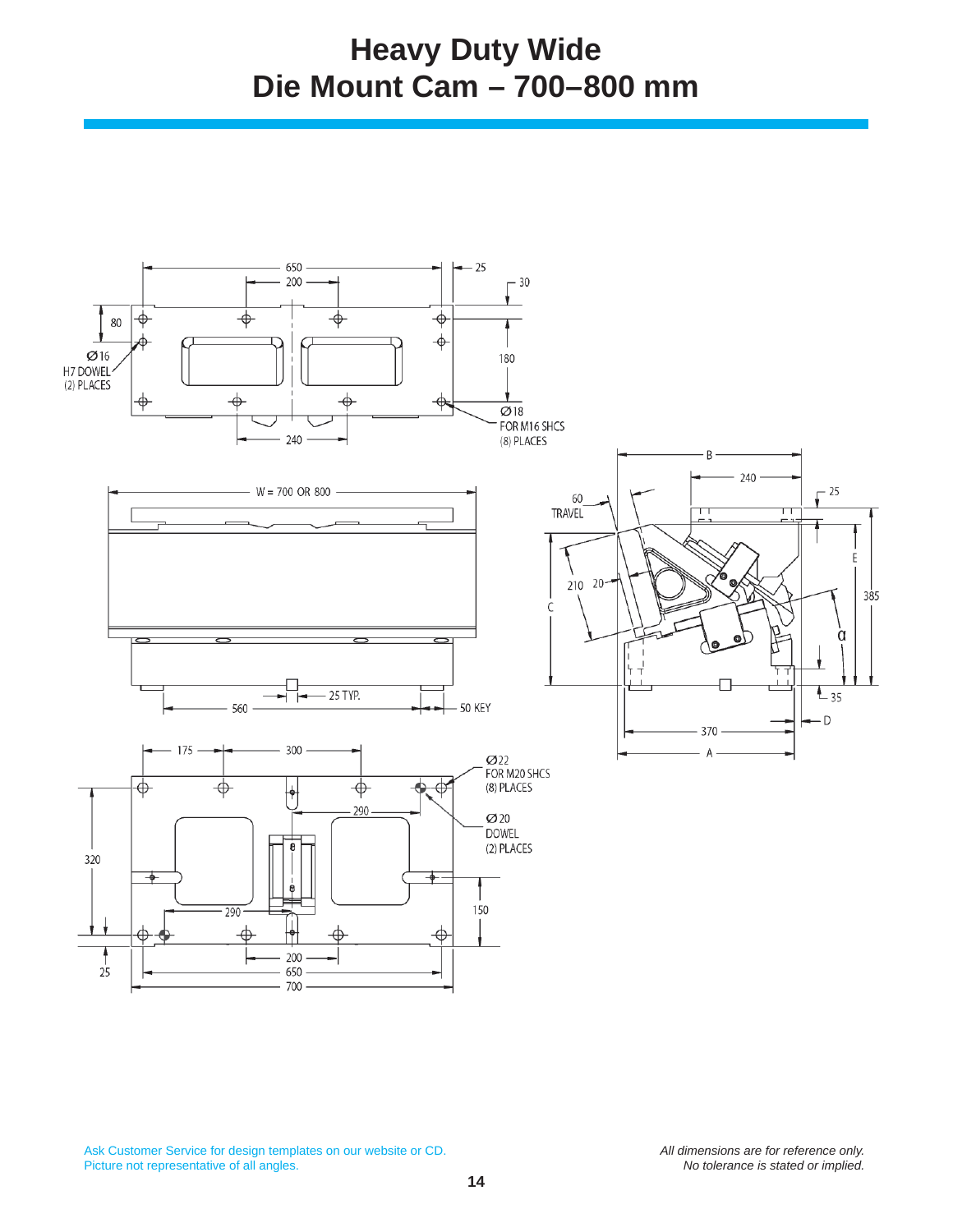### **Heavy Duty Wide Die Mount Cam – 700–800 mm**

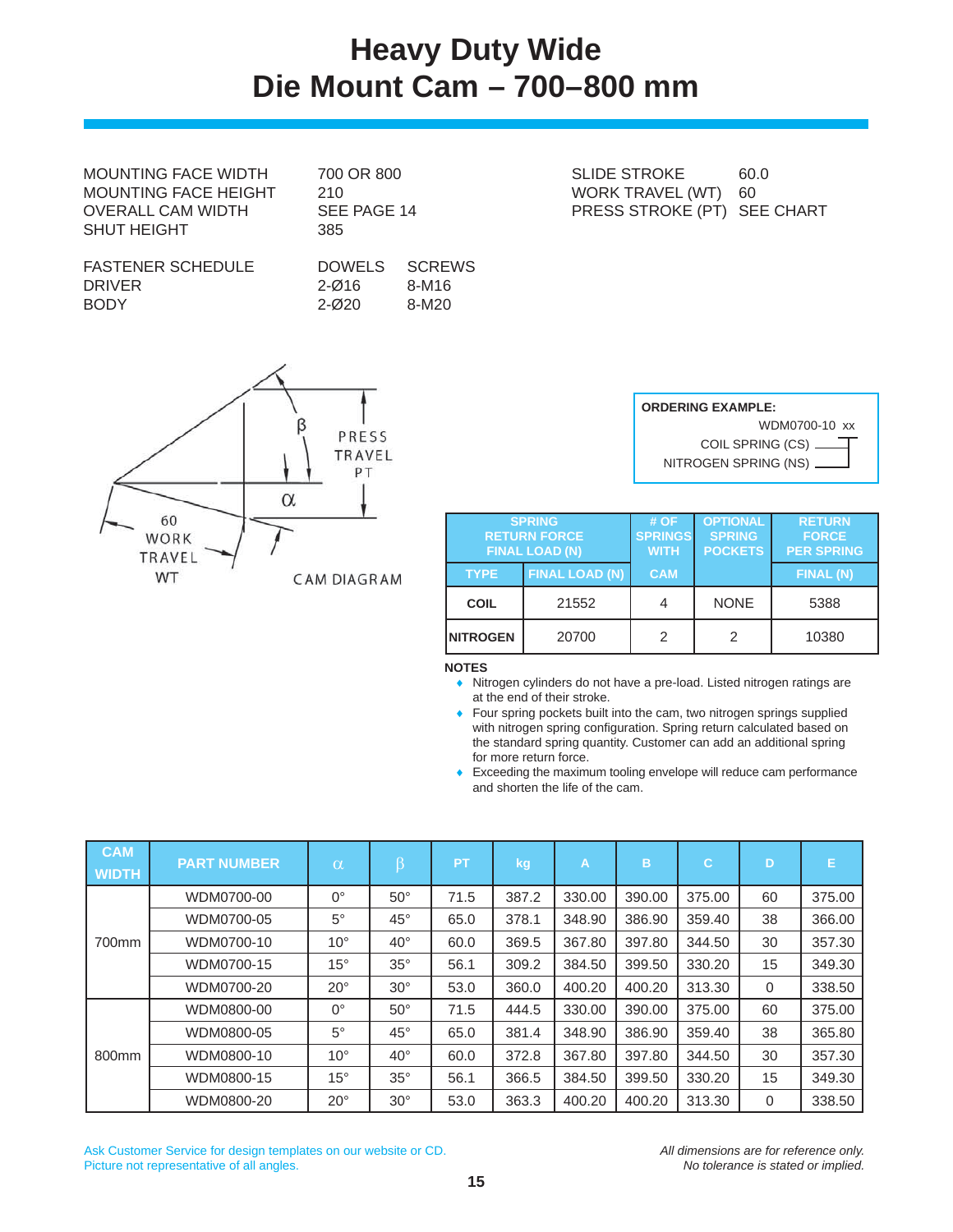## **Heavy Duty Wide Die Mount Cam – 700–800 mm**

MOUNTING FACE WIDTH 700 OR 800 SLIDE STROKE 60.0 MOUNTING FACE HEIGHT 210 NORK TRAVEL (WT) 60 SHUT HEIGHT
385

FASTENER SCHEDULE DOWELS SCREWS DRIVER 2-Ø16 8-M16 BODY 2-Ø20 8-M20

R PRESS TRAVEL PT  $\alpha$ 60 WORK TRAVEL WT **CAM DIAGRAM** 

OVERALL CAM WIDTH SEE PAGE 14 PRESS STROKE (PT) SEE CHART

| <b>ORDERING EXAMPLE:</b> |
|--------------------------|
| WDM0700-10 xx            |
| COIL SPRING (CS) _       |
| NITROGEN SPRING (NS) __  |

| <b>SPRING</b><br><b>RETURN FORCE</b><br><b>FINAL LOAD (N)</b> |                       | #OF<br><b>SPRINGS</b><br><b>WITH</b> | <b>OPTIONAL</b><br><b>SPRING</b><br><b>POCKETS</b> | <b>RETURN</b><br><b>FORCE</b><br><b>PER SPRING</b> |
|---------------------------------------------------------------|-----------------------|--------------------------------------|----------------------------------------------------|----------------------------------------------------|
| <b>TYPE</b>                                                   | <b>FINAL LOAD (N)</b> | <b>CAM</b>                           |                                                    | FINAL (N)                                          |
| <b>COIL</b>                                                   | 21552                 |                                      | <b>NONE</b>                                        | 5388                                               |
| <b>INITROGEN</b>                                              | 20700                 | 2                                    | 2                                                  | 10380                                              |

**NOTES**

 Nitrogen cylinders do not have a pre-load. Listed nitrogen ratings are at the end of their stroke.

**Four spring pockets built into the cam, two nitrogen springs supplied** with nitrogen spring configuration. Spring return calculated based on the standard spring quantity. Customer can add an additional spring for more return force.

Exceeding the maximum tooling envelope will reduce cam performance and shorten the life of the cam.

| <b>CAM</b><br><b>WIDTH</b> | <b>PART NUMBER</b> | $\alpha$     | β            | <b>PT</b> | kg    | A      | B      | $\mathbf C$ | D           | Е      |
|----------------------------|--------------------|--------------|--------------|-----------|-------|--------|--------|-------------|-------------|--------|
|                            | WDM0700-00         | $0^{\circ}$  | $50^\circ$   | 71.5      | 387.2 | 330.00 | 390.00 | 375.00      | 60          | 375.00 |
|                            | WDM0700-05         | $5^\circ$    | $45^{\circ}$ | 65.0      | 378.1 | 348.90 | 386.90 | 359.40      | 38          | 366.00 |
| 700mm                      | WDM0700-10         | $10^{\circ}$ | $40^{\circ}$ | 60.0      | 369.5 | 367.80 | 397.80 | 344.50      | 30          | 357.30 |
|                            | WDM0700-15         | $15^{\circ}$ | $35^\circ$   | 56.1      | 309.2 | 384.50 | 399.50 | 330.20      | 15          | 349.30 |
|                            | WDM0700-20         | $20^{\circ}$ | $30^\circ$   | 53.0      | 360.0 | 400.20 | 400.20 | 313.30      | $\mathbf 0$ | 338.50 |
|                            | WDM0800-00         | $0^{\circ}$  | $50^\circ$   | 71.5      | 444.5 | 330.00 | 390.00 | 375.00      | 60          | 375.00 |
|                            | WDM0800-05         | $5^{\circ}$  | $45^{\circ}$ | 65.0      | 381.4 | 348.90 | 386.90 | 359.40      | 38          | 365.80 |
| 800 <sub>mm</sub>          | WDM0800-10         | $10^{\circ}$ | $40^{\circ}$ | 60.0      | 372.8 | 367.80 | 397.80 | 344.50      | 30          | 357.30 |
|                            | WDM0800-15         | $15^{\circ}$ | $35^\circ$   | 56.1      | 366.5 | 384.50 | 399.50 | 330.20      | 15          | 349.30 |
|                            | WDM0800-20         | $20^{\circ}$ | $30^\circ$   | 53.0      | 363.3 | 400.20 | 400.20 | 313.30      | 0           | 338.50 |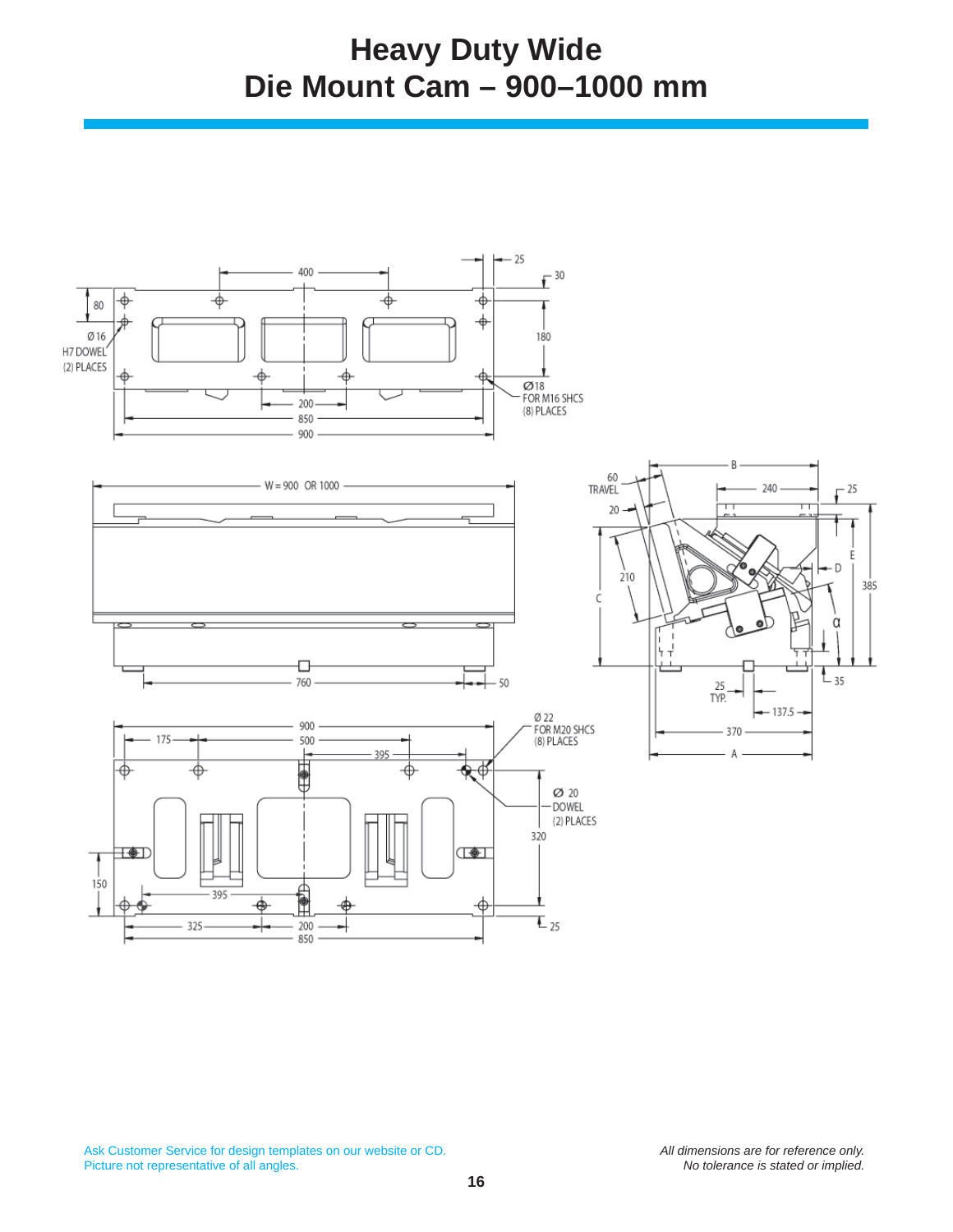## **Heavy Duty Wide Die Mount Cam – 900–1000 mm**

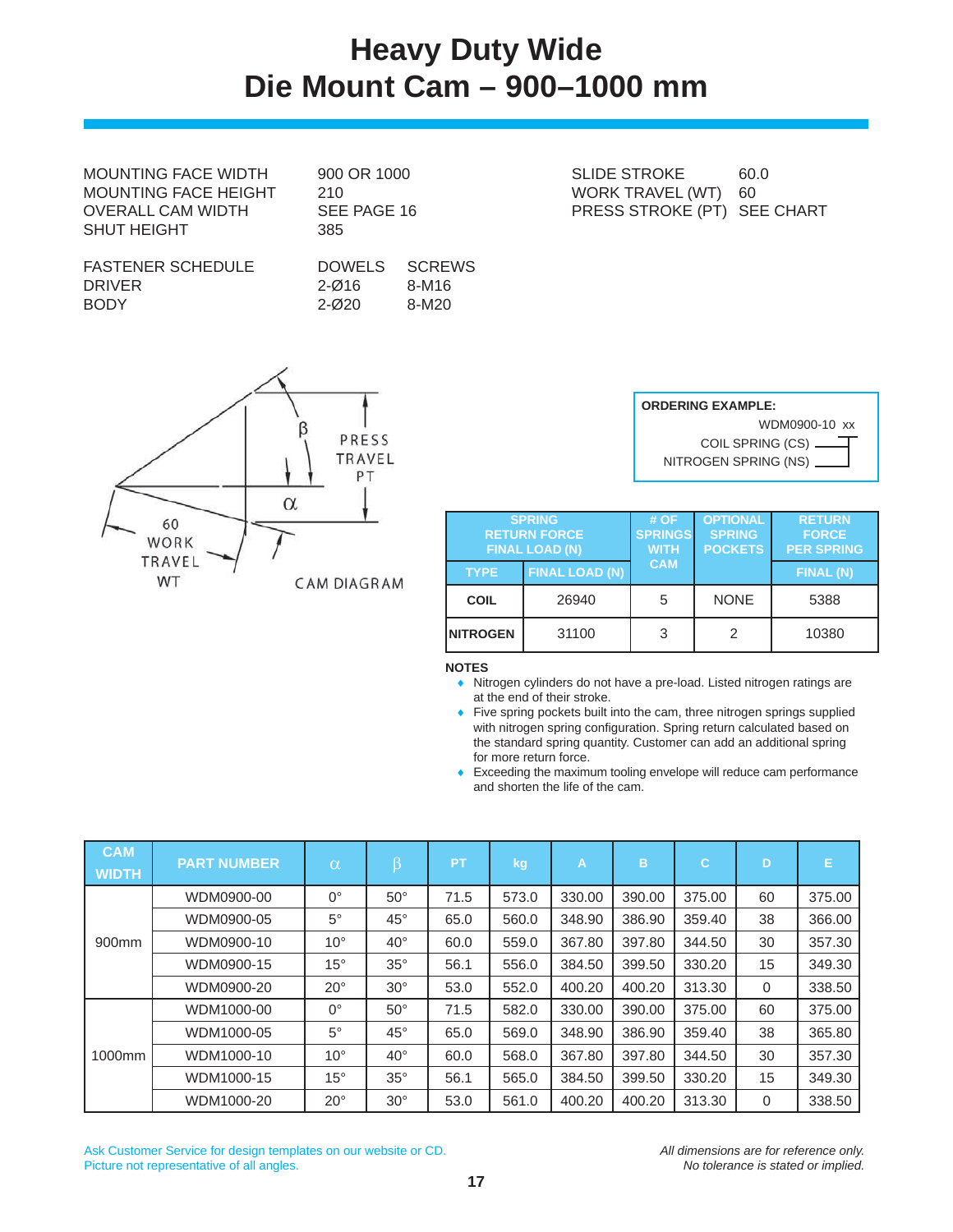### **Heavy Duty Wide Die Mount Cam – 900–1000 mm**

MOUNTING FACE WIDTH 900 OR 1000 SLIDE STROKE 60.0 MOUNTING FACE HEIGHT 210 OVERALL CAM WIDTH SEE PAGE 16 SHUT HEIGHT
385

| FASTENER SCHEDULE |  |
|-------------------|--|
| DRIVER            |  |
| BODY              |  |

DOWELS SCREWS 2-Ø16 8-M16 2-Ø20 8-M20

ß PRESS TRAVEL PT  $\alpha$ 60 WORK TRAVEL WT **CAM DIAGRAM** 

| ------------                | . |
|-----------------------------|---|
| WORK TRAVEL (WT) 60         |   |
| PRESS STROKE (PT) SEE CHART |   |
|                             |   |

| <b>ORDERING EXAMPLE:</b>             |  |  |  |  |  |
|--------------------------------------|--|--|--|--|--|
| WDM0900-10 xx                        |  |  |  |  |  |
| COIL SPRING $(CS)$ $\longrightarrow$ |  |  |  |  |  |
| NITROGEN SPRING (NS)                 |  |  |  |  |  |

| <b>SPRING</b><br><b>RETURN FORCE</b><br><b>FINAL LOAD (N)</b> |                       | #OF<br><b>SPRINGS</b><br><b>WITH</b> | <b>OPTIONAL</b><br><b>SPRING</b><br><b>POCKETS</b> | <b>RETURN</b><br><b>FORCE</b><br><b>PER SPRING</b> |  |
|---------------------------------------------------------------|-----------------------|--------------------------------------|----------------------------------------------------|----------------------------------------------------|--|
| <b>TYPE</b>                                                   | <b>FINAL LOAD (N)</b> | <b>CAM</b>                           |                                                    | <b>FINAL (N)</b>                                   |  |
| <b>COIL</b>                                                   | 26940                 | 5                                    | <b>NONE</b>                                        | 5388                                               |  |
| <b>INITROGEN</b>                                              | 31100                 | 3                                    | 2                                                  | 10380                                              |  |

**NOTES**

- Nitrogen cylinders do not have a pre-load. Listed nitrogen ratings are at the end of their stroke.
- Five spring pockets built into the cam, three nitrogen springs supplied with nitrogen spring configuration. Spring return calculated based on the standard spring quantity. Customer can add an additional spring for more return force.
- Exceeding the maximum tooling envelope will reduce cam performance and shorten the life of the cam.

| <b>CAM</b><br><b>WIDTH</b> | <b>PART NUMBER</b> | $\alpha$     | β            | <b>PT</b> | kg    | $\mathsf{A}$ | B      | $\mathbf C$ | D  | Е      |
|----------------------------|--------------------|--------------|--------------|-----------|-------|--------------|--------|-------------|----|--------|
| 900mm                      | WDM0900-00         | $0^{\circ}$  | $50^\circ$   | 71.5      | 573.0 | 330.00       | 390.00 | 375.00      | 60 | 375.00 |
|                            | WDM0900-05         | $5^\circ$    | $45^{\circ}$ | 65.0      | 560.0 | 348.90       | 386.90 | 359.40      | 38 | 366.00 |
|                            | WDM0900-10         | $10^{\circ}$ | $40^{\circ}$ | 60.0      | 559.0 | 367.80       | 397.80 | 344.50      | 30 | 357.30 |
|                            | WDM0900-15         | $15^{\circ}$ | $35^\circ$   | 56.1      | 556.0 | 384.50       | 399.50 | 330.20      | 15 | 349.30 |
|                            | WDM0900-20         | $20^{\circ}$ | $30^\circ$   | 53.0      | 552.0 | 400.20       | 400.20 | 313.30      | 0  | 338.50 |
| 1000mm                     | WDM1000-00         | $0^{\circ}$  | $50^{\circ}$ | 71.5      | 582.0 | 330.00       | 390.00 | 375.00      | 60 | 375.00 |
|                            | WDM1000-05         | $5^\circ$    | $45^{\circ}$ | 65.0      | 569.0 | 348.90       | 386.90 | 359.40      | 38 | 365.80 |
|                            | WDM1000-10         | $10^{\circ}$ | $40^{\circ}$ | 60.0      | 568.0 | 367.80       | 397.80 | 344.50      | 30 | 357.30 |
|                            | WDM1000-15         | $15^{\circ}$ | $35^\circ$   | 56.1      | 565.0 | 384.50       | 399.50 | 330.20      | 15 | 349.30 |
|                            | WDM1000-20         | $20^{\circ}$ | $30^\circ$   | 53.0      | 561.0 | 400.20       | 400.20 | 313.30      | 0  | 338.50 |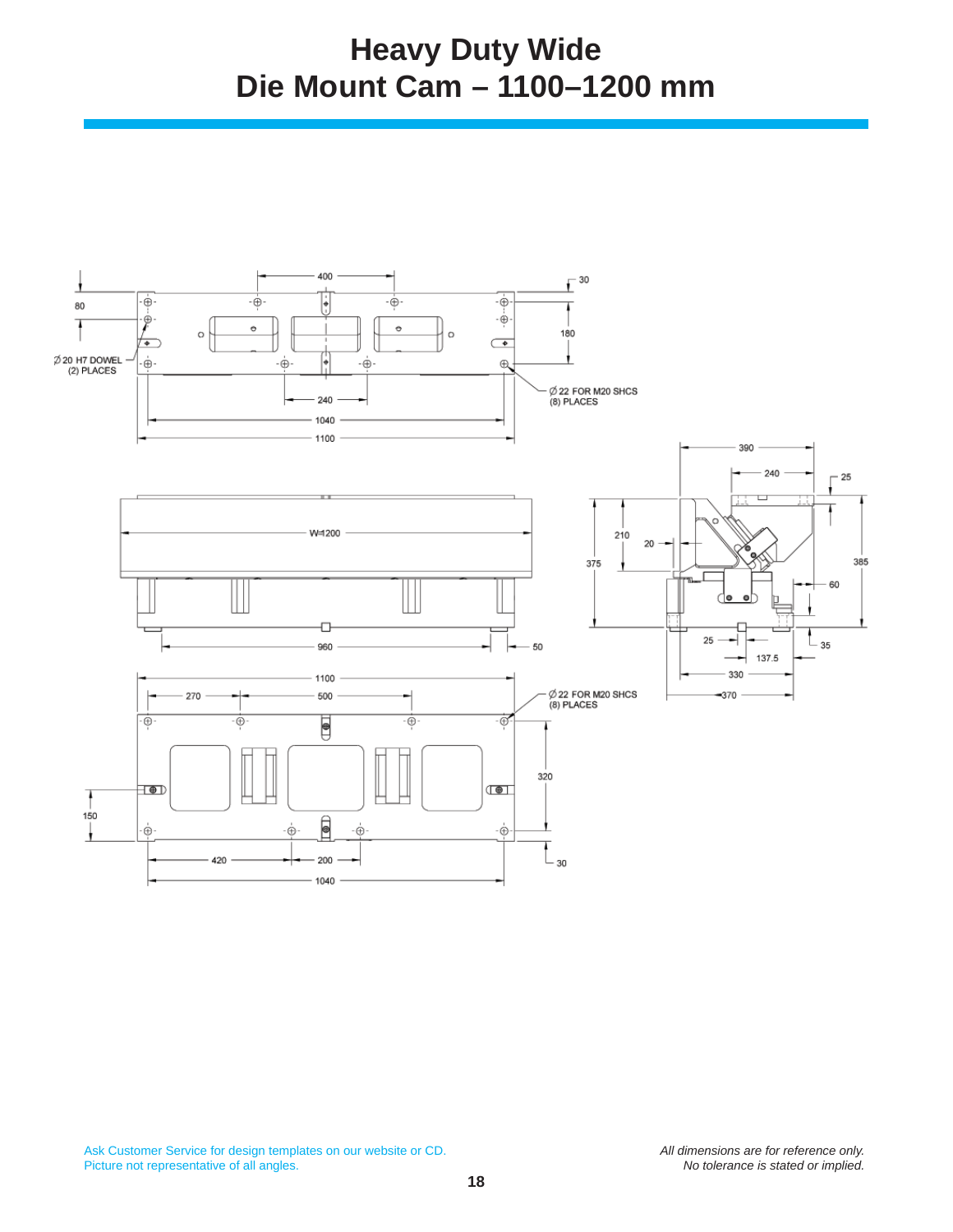## **Heavy Duty Wide Die Mount Cam – 1100–1200 mm**

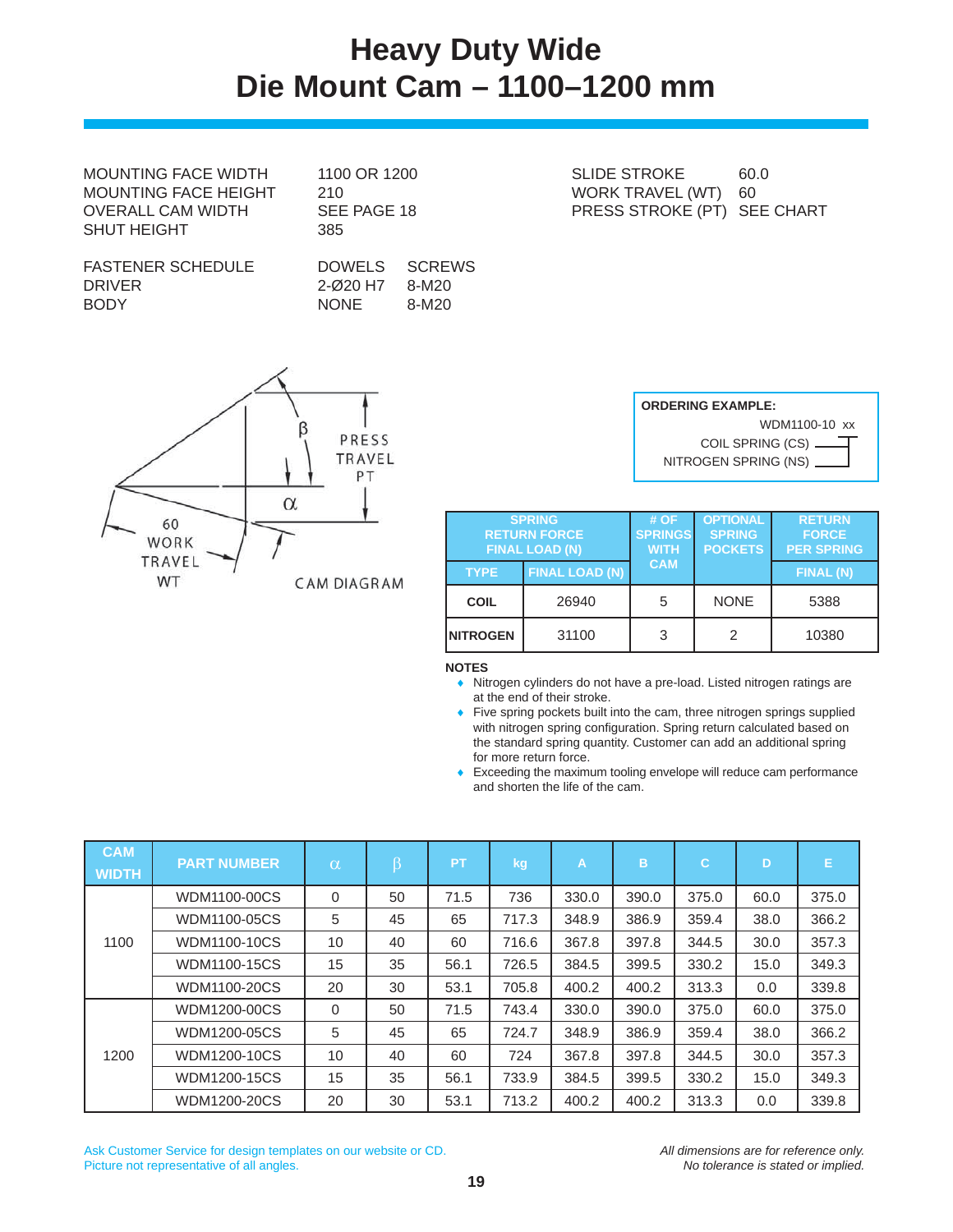## **Heavy Duty Wide Die Mount Cam – 1100–1200 mm**

MOUNTING FACE HEIGHT 210 NORK TRAVEL (WT) 60 SHUT HEIGHT
385

| FASTENER SCHEDULE |  |
|-------------------|--|
| DRIVER            |  |
| BODY              |  |

DOWELS SCREWS 2-Ø20 H7 8-M20 NONE 8-M20

MOUNTING FACE WIDTH 1100 OR 1200 SLIDE STROKE 60.0 OVERALL CAM WIDTH SEE PAGE 18 PRESS STROKE (PT) SEE CHART



| <b>ORDERING EXAMPLE:</b>  |  |  |  |  |  |  |  |
|---------------------------|--|--|--|--|--|--|--|
| WDM1100-10 xx             |  |  |  |  |  |  |  |
|                           |  |  |  |  |  |  |  |
| NITROGEN SPRING (NS) ____ |  |  |  |  |  |  |  |

|                 | <b>SPRING</b><br><b>RETURN FORCE</b><br><b>FINAL LOAD (N)</b> | # OF<br><b>SPRINGS</b><br><b>WITH</b> | <b>OPTIONAL</b><br><b>SPRING</b><br><b>POCKETS</b> | <b>RETURN</b><br><b>FORCE</b><br><b>PER SPRING</b> |  |
|-----------------|---------------------------------------------------------------|---------------------------------------|----------------------------------------------------|----------------------------------------------------|--|
| <b>TYPE</b>     | <b>FINAL LOAD (N)</b>                                         | <b>CAM</b>                            |                                                    | FINAL (N)                                          |  |
| <b>COIL</b>     | 26940                                                         | 5                                     | <b>NONE</b>                                        | 5388                                               |  |
| <b>NITROGEN</b> | 31100                                                         | 3                                     | 2                                                  | 10380                                              |  |

**NOTES**

- Nitrogen cylinders do not have a pre-load. Listed nitrogen ratings are at the end of their stroke.
- Five spring pockets built into the cam, three nitrogen springs supplied with nitrogen spring configuration. Spring return calculated based on the standard spring quantity. Customer can add an additional spring for more return force.
- Exceeding the maximum tooling envelope will reduce cam performance and shorten the life of the cam.

| <b>CAM</b><br><b>WIDTH</b> | <b>PART NUMBER</b>  | $\alpha$    | β  | <b>PT</b> | kg    | A     | B     | $\mathbf C$ | D    | Е     |
|----------------------------|---------------------|-------------|----|-----------|-------|-------|-------|-------------|------|-------|
| 1100                       | WDM1100-00CS        | $\Omega$    | 50 | 71.5      | 736   | 330.0 | 390.0 | 375.0       | 60.0 | 375.0 |
|                            | WDM1100-05CS        | 5           | 45 | 65        | 717.3 | 348.9 | 386.9 | 359.4       | 38.0 | 366.2 |
|                            | WDM1100-10CS        | 10          | 40 | 60        | 716.6 | 367.8 | 397.8 | 344.5       | 30.0 | 357.3 |
|                            | <b>WDM1100-15CS</b> | 15          | 35 | 56.1      | 726.5 | 384.5 | 399.5 | 330.2       | 15.0 | 349.3 |
|                            | WDM1100-20CS        | 20          | 30 | 53.1      | 705.8 | 400.2 | 400.2 | 313.3       | 0.0  | 339.8 |
| 1200                       | WDM1200-00CS        | $\mathbf 0$ | 50 | 71.5      | 743.4 | 330.0 | 390.0 | 375.0       | 60.0 | 375.0 |
|                            | WDM1200-05CS        | 5           | 45 | 65        | 724.7 | 348.9 | 386.9 | 359.4       | 38.0 | 366.2 |
|                            | WDM1200-10CS        | 10          | 40 | 60        | 724   | 367.8 | 397.8 | 344.5       | 30.0 | 357.3 |
|                            | WDM1200-15CS        | 15          | 35 | 56.1      | 733.9 | 384.5 | 399.5 | 330.2       | 15.0 | 349.3 |
|                            | WDM1200-20CS        | 20          | 30 | 53.1      | 713.2 | 400.2 | 400.2 | 313.3       | 0.0  | 339.8 |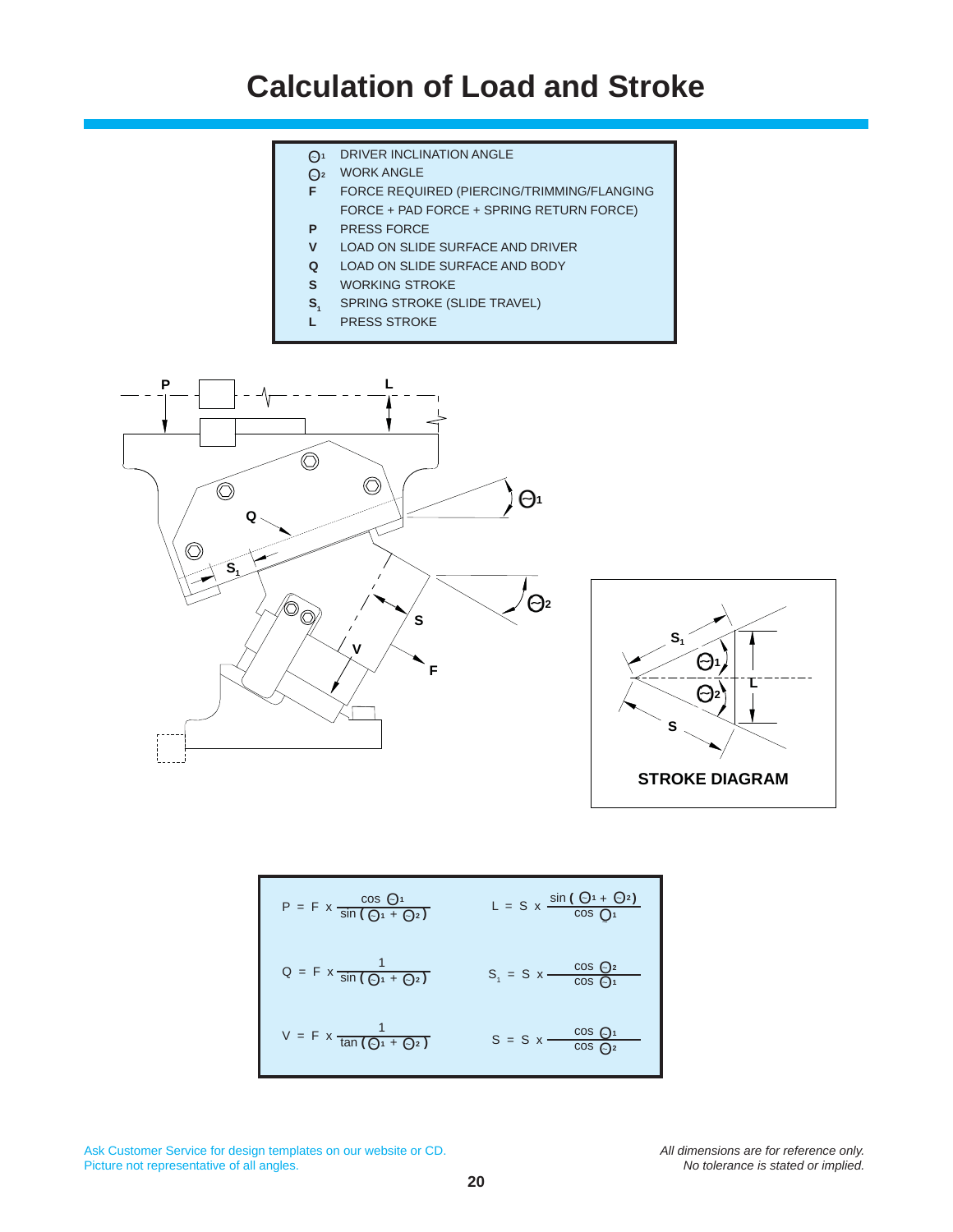## **Calculation of Load and Stroke**

- $\bigodot$ <sup>1</sup> DRIVER INCLINATION ANGLE
- WORK ANGLE O*<sup>~</sup>***<sup>2</sup>**
- **F** FORCE REQUIRED (PIERCING/TRIMMING/FLANGING FORCE + PAD FORCE + SPRING RETURN FORCE)
- **P** PRESS FORCE
- **V** LOAD ON SLIDE SURFACE AND DRIVER
- **Q** LOAD ON SLIDE SURFACE AND BODY
- **S** WORKING STROKE
- **S**<sub>1</sub> SPRING STROKE (SLIDE TRAVEL)
- **L** PRESS STROKE





$$
P = F \times \frac{\cos Q_{1}}{\sin (Q_{1} + Q_{2})}
$$
  
\n
$$
L = S \times \frac{\sin (Q_{1} + Q_{2})}{\cos Q_{1}}
$$
  
\n
$$
Q = F \times \frac{1}{\sin (Q_{1} + Q_{2})}
$$
  
\n
$$
S_{1} = S \times \frac{\cos Q_{2}}{\cos Q_{1}}
$$
  
\n
$$
V = F \times \frac{1}{\tan (Q_{1} + Q_{2})}
$$
  
\n
$$
S = S \times \frac{\cos Q_{1}}{\cos Q_{2}}
$$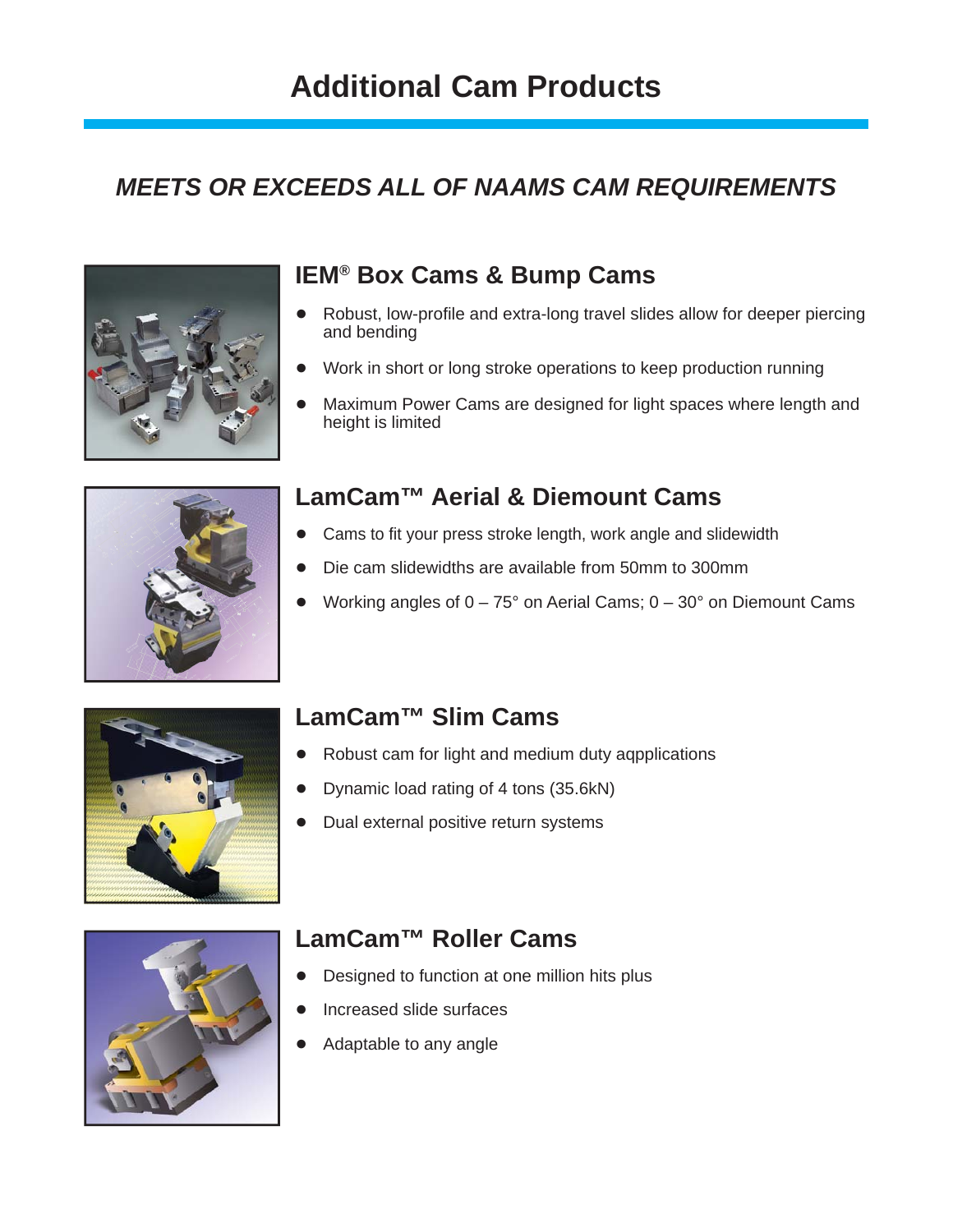## **Additional Cam Products**

### *MEETS OR EXCEEDS ALL OF NAAMS CAM REQUIREMENTS*



### **IEM® Box Cams & Bump Cams**

- Robust, low-profile and extra-long travel slides allow for deeper piercing and bending
- Work in short or long stroke operations to keep production running
- Maximum Power Cams are designed for light spaces where length and height is limited



### **LamCam™ Aerial & Diemount Cams**

- Cams to fit your press stroke length, work angle and slidewidth
- Die cam slidewidths are available from 50mm to 300mm
- Working angles of  $0 75^\circ$  on Aerial Cams;  $0 30^\circ$  on Diemount Cams



### **LamCam™ Slim Cams**

- Robust cam for light and medium duty agpplications
- Dynamic load rating of 4 tons (35.6kN)
- Dual external positive return systems



### **LamCam™ Roller Cams**

- Designed to function at one million hits plus
- Increased slide surfaces
- Adaptable to any angle